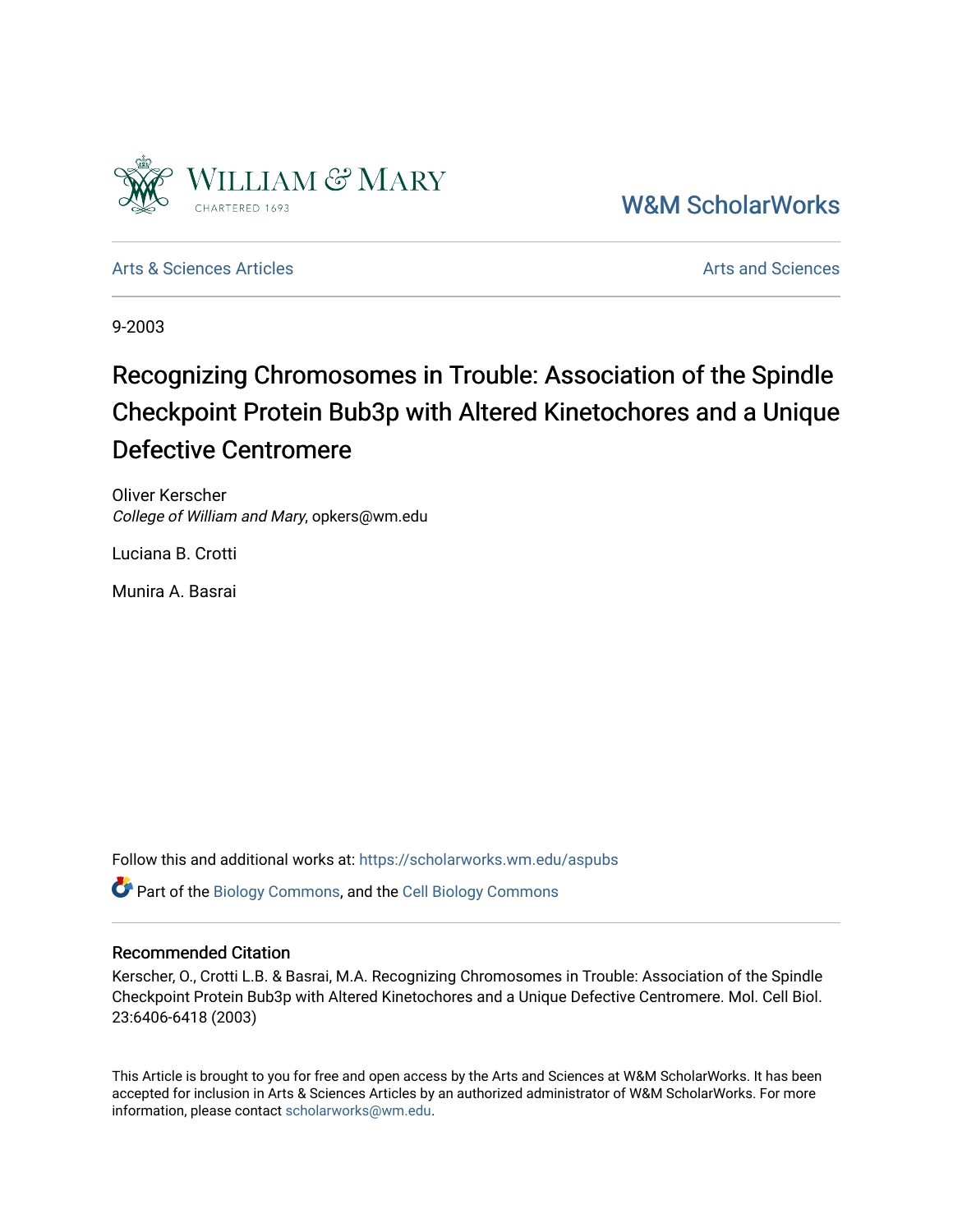

[W&M ScholarWorks](https://scholarworks.wm.edu/) 

[Arts & Sciences Articles](https://scholarworks.wm.edu/aspubs) **Articles** [Arts and Sciences](https://scholarworks.wm.edu/as) Articles Arts and Sciences Arts and Sciences Articles **Arts** and Sciences Arts and Sciences **Arts** and Sciences **Arts** and Sciences **Arts** and Sciences **Arts** and Scien

9-2003

## Recognizing Chromosomes in Trouble: Association of the Spindle Checkpoint Protein Bub3p with Altered Kinetochores and a Unique Defective Centromere

Oliver Kerscher College of William and Mary, opkers@wm.edu

Luciana B. Crotti

Munira A. Basrai

Follow this and additional works at: [https://scholarworks.wm.edu/aspubs](https://scholarworks.wm.edu/aspubs?utm_source=scholarworks.wm.edu%2Faspubs%2F19&utm_medium=PDF&utm_campaign=PDFCoverPages) 

Part of the [Biology Commons,](http://network.bepress.com/hgg/discipline/41?utm_source=scholarworks.wm.edu%2Faspubs%2F19&utm_medium=PDF&utm_campaign=PDFCoverPages) and the [Cell Biology Commons](http://network.bepress.com/hgg/discipline/10?utm_source=scholarworks.wm.edu%2Faspubs%2F19&utm_medium=PDF&utm_campaign=PDFCoverPages)

#### Recommended Citation

Kerscher, O., Crotti L.B. & Basrai, M.A. Recognizing Chromosomes in Trouble: Association of the Spindle Checkpoint Protein Bub3p with Altered Kinetochores and a Unique Defective Centromere. Mol. Cell Biol. 23:6406-6418 (2003)

This Article is brought to you for free and open access by the Arts and Sciences at W&M ScholarWorks. It has been accepted for inclusion in Arts & Sciences Articles by an authorized administrator of W&M ScholarWorks. For more information, please contact [scholarworks@wm.edu](mailto:scholarworks@wm.edu).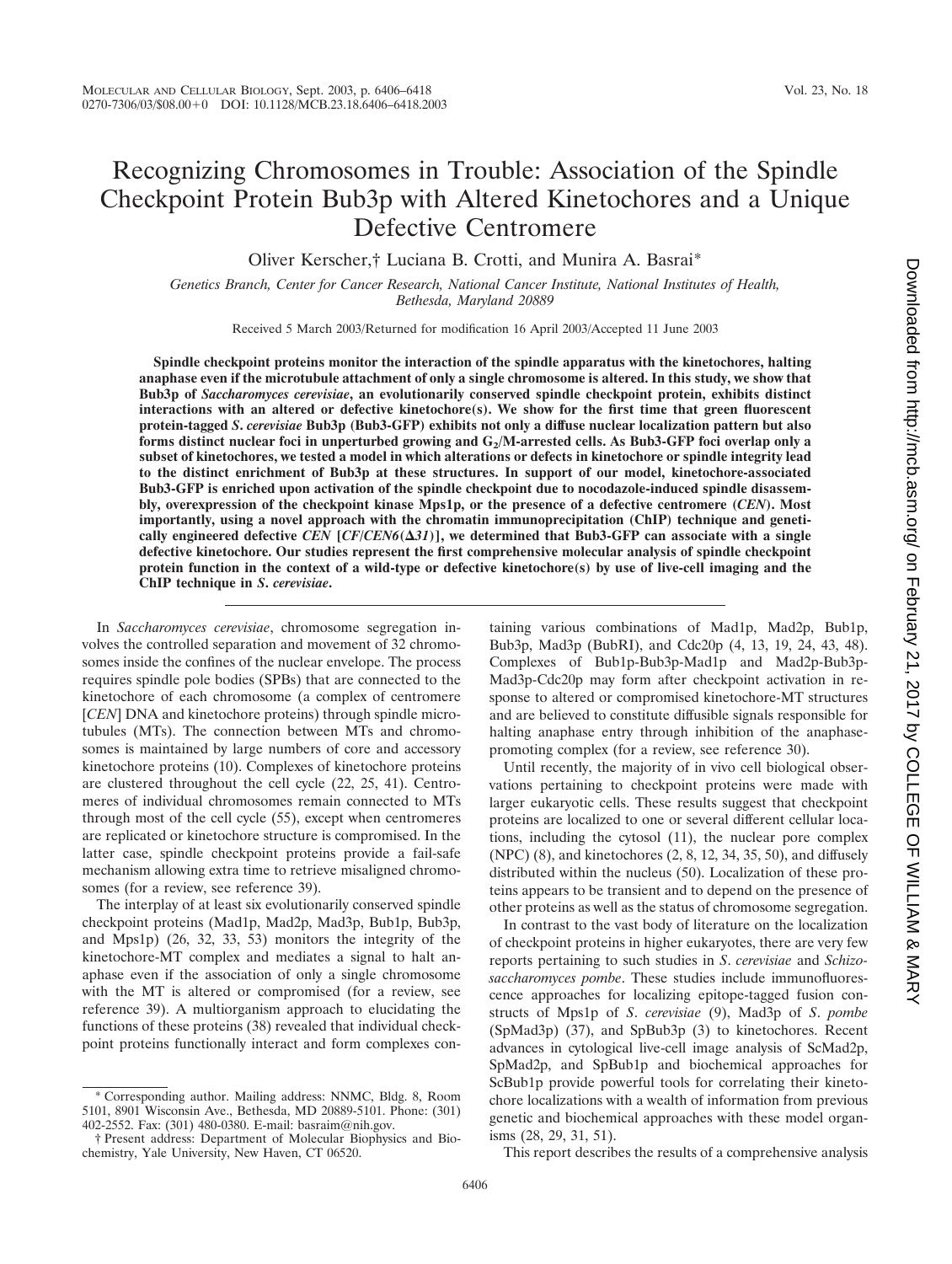### Recognizing Chromosomes in Trouble: Association of the Spindle Checkpoint Protein Bub3p with Altered Kinetochores and a Unique Defective Centromere

Oliver Kerscher,† Luciana B. Crotti, and Munira A. Basrai\*

*Genetics Branch, Center for Cancer Research, National Cancer Institute, National Institutes of Health, Bethesda, Maryland 20889*

Received 5 March 2003/Returned for modification 16 April 2003/Accepted 11 June 2003

**Spindle checkpoint proteins monitor the interaction of the spindle apparatus with the kinetochores, halting anaphase even if the microtubule attachment of only a single chromosome is altered. In this study, we show that Bub3p of** *Saccharomyces cerevisiae***, an evolutionarily conserved spindle checkpoint protein, exhibits distinct interactions with an altered or defective kinetochore(s). We show for the first time that green fluorescent protein-tagged** *S***.** *cerevisiae* **Bub3p (Bub3-GFP) exhibits not only a diffuse nuclear localization pattern but also** forms distinct nuclear foci in unperturbed growing and G<sub>2</sub>/M-arrested cells. As Bub3-GFP foci overlap only a **subset of kinetochores, we tested a model in which alterations or defects in kinetochore or spindle integrity lead to the distinct enrichment of Bub3p at these structures. In support of our model, kinetochore-associated Bub3-GFP is enriched upon activation of the spindle checkpoint due to nocodazole-induced spindle disassembly, overexpression of the checkpoint kinase Mps1p, or the presence of a defective centromere (***CEN***). Most importantly, using a novel approach with the chromatin immunoprecipitation (ChIP) technique and genetically engineered defective** *CEN* **[***CF***/***CEN6***(***31***)], we determined that Bub3-GFP can associate with a single defective kinetochore. Our studies represent the first comprehensive molecular analysis of spindle checkpoint protein function in the context of a wild-type or defective kinetochore(s) by use of live-cell imaging and the ChIP technique in** *S***.** *cerevisiae***.**

In *Saccharomyces cerevisiae*, chromosome segregation involves the controlled separation and movement of 32 chromosomes inside the confines of the nuclear envelope. The process requires spindle pole bodies (SPBs) that are connected to the kinetochore of each chromosome (a complex of centromere [*CEN*] DNA and kinetochore proteins) through spindle microtubules (MTs). The connection between MTs and chromosomes is maintained by large numbers of core and accessory kinetochore proteins (10). Complexes of kinetochore proteins are clustered throughout the cell cycle (22, 25, 41). Centromeres of individual chromosomes remain connected to MTs through most of the cell cycle (55), except when centromeres are replicated or kinetochore structure is compromised. In the latter case, spindle checkpoint proteins provide a fail-safe mechanism allowing extra time to retrieve misaligned chromosomes (for a review, see reference 39).

The interplay of at least six evolutionarily conserved spindle checkpoint proteins (Mad1p, Mad2p, Mad3p, Bub1p, Bub3p, and Mps1p) (26, 32, 33, 53) monitors the integrity of the kinetochore-MT complex and mediates a signal to halt anaphase even if the association of only a single chromosome with the MT is altered or compromised (for a review, see reference 39). A multiorganism approach to elucidating the functions of these proteins (38) revealed that individual checkpoint proteins functionally interact and form complexes containing various combinations of Mad1p, Mad2p, Bub1p, Bub3p, Mad3p (BubRI), and Cdc20p (4, 13, 19, 24, 43, 48). Complexes of Bub1p-Bub3p-Mad1p and Mad2p-Bub3p-Mad3p-Cdc20p may form after checkpoint activation in response to altered or compromised kinetochore-MT structures and are believed to constitute diffusible signals responsible for halting anaphase entry through inhibition of the anaphasepromoting complex (for a review, see reference 30).

Until recently, the majority of in vivo cell biological observations pertaining to checkpoint proteins were made with larger eukaryotic cells. These results suggest that checkpoint proteins are localized to one or several different cellular locations, including the cytosol (11), the nuclear pore complex (NPC) (8), and kinetochores (2, 8, 12, 34, 35, 50), and diffusely distributed within the nucleus (50). Localization of these proteins appears to be transient and to depend on the presence of other proteins as well as the status of chromosome segregation.

In contrast to the vast body of literature on the localization of checkpoint proteins in higher eukaryotes, there are very few reports pertaining to such studies in *S*. *cerevisiae* and *Schizosaccharomyces pombe*. These studies include immunofluorescence approaches for localizing epitope-tagged fusion constructs of Mps1p of *S*. *cerevisiae* (9), Mad3p of *S*. *pombe* (SpMad3p) (37), and SpBub3p (3) to kinetochores. Recent advances in cytological live-cell image analysis of ScMad2p, SpMad2p, and SpBub1p and biochemical approaches for ScBub1p provide powerful tools for correlating their kinetochore localizations with a wealth of information from previous genetic and biochemical approaches with these model organisms (28, 29, 31, 51).

Downloaded from http://mcb.asm.org/ on February 21, 2017 by COLLEGE OF WILLIAM & MARY on February 21, 2017 by COLLEGE OF WILLIAM & MARY <http://mcb.asm.org/> Downloaded from

This report describes the results of a comprehensive analysis

<sup>\*</sup> Corresponding author. Mailing address: NNMC, Bldg. 8, Room 5101, 8901 Wisconsin Ave., Bethesda, MD 20889-5101. Phone: (301) 402-2552. Fax: (301) 480-0380. E-mail: basraim@nih.gov.

<sup>†</sup> Present address: Department of Molecular Biophysics and Biochemistry, Yale University, New Haven, CT 06520.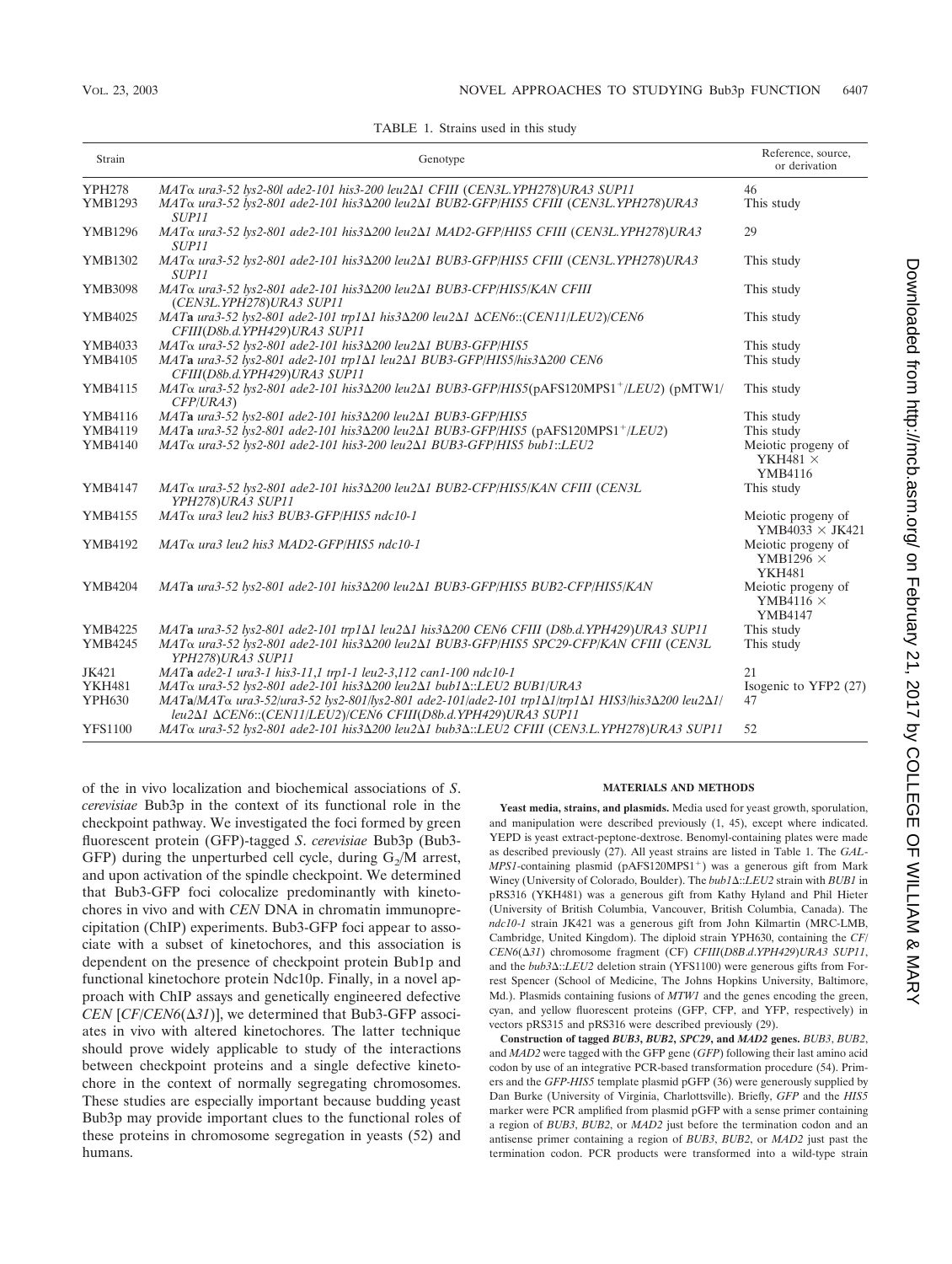| Strain         | Genotype                                                                                                                                                                                                                       | Reference, source,<br>or derivation                      |
|----------------|--------------------------------------------------------------------------------------------------------------------------------------------------------------------------------------------------------------------------------|----------------------------------------------------------|
| <b>YPH278</b>  | MAT <sub>Q</sub> ura3-52 lys2-80l ade2-101 his3-200 leu2 $\Delta$ 1 CFIII (CEN3L.YPH278)URA3 SUP11                                                                                                                             | 46                                                       |
| YMB1293        | MATα ura3-52 lys2-801 ade2-101 his3Δ200 leu2Δ1 BUB2-GFP/HIS5 CFIII (CEN3L.YPH278)URA3<br>SUP11                                                                                                                                 | This study                                               |
| <b>YMB1296</b> | MAT <sub>α</sub> ura3-52 lys2-801 ade2-101 his3Δ200 leu2Δ1 MAD2-GFP/HIS5 CFIII (CEN3L.YPH278)URA3<br>SUP <sub>11</sub>                                                                                                         | 29                                                       |
| YMB1302        | MAT <sub>α</sub> ura3-52 lys2-801 ade2-101 his3Δ200 leu2Δ1 BUB3-GFP/HIS5 CFIII (CEN3L.YPH278)URA3<br><i>SUP11</i>                                                                                                              | This study                                               |
| YMB3098        | MAT <sub>a</sub> ura3-52 lys2-801 ade2-101 his3 $\Delta$ 200 leu2 $\Delta$ 1 BUB3-CFP/HIS5/KAN CFIII<br>(CEN3L.YPH278)URA3 SUP11                                                                                               | This study                                               |
| YMB4025        | MATa ura3-52 lys2-801 ade2-101 trp1 $\Delta$ 1 his3 $\Delta$ 200 leu2 $\Delta$ 1 $\Delta$ CEN6::(CEN11/LEU2)/CEN6<br>CFIII(D8b.d.YPH429)URA3 SUP11                                                                             | This study                                               |
| YMB4033        | MATo ura3-52 lys2-801 ade2-101 his3Δ200 leu2Δ1 BUB3-GFP/HIS5                                                                                                                                                                   | This study                                               |
| <b>YMB4105</b> | MATa ura3-52 lys2-801 ade2-101 trp1Δ1 leu2Δ1 BUB3-GFP/HIS5/his3Δ200 CEN6<br>CFIII(D8b.d.YPH429)URA3 SUP11                                                                                                                      | This study                                               |
| YMB4115        | $MAT\alpha$ ura3-52 lys2-801 ade2-101 his3 $\Delta$ 200 leu2 $\Delta$ 1 BUB3-GFP/HIS5(pAFS120MPS1 <sup>+</sup> /LEU2) (pMTW1/<br>CFP/URA3                                                                                      | This study                                               |
| <b>YMB4116</b> | MATa ura3-52 lys2-801 ade2-101 his3 $\Delta$ 200 leu2 $\Delta$ 1 BUB3-GFP/HIS5                                                                                                                                                 | This study                                               |
| <b>YMB4119</b> | $MATa$ ura3-52 lys2-801 ade2-101 his3 $\Delta$ 200 leu2 $\Delta$ 1 BUB3-GFP/HIS5 (pAFS120MPS1 <sup>+</sup> /LEU2)                                                                                                              | This study                                               |
| <b>YMB4140</b> | MAT <sub>a</sub> ura3-52 lys2-801 ade2-101 his3-200 leu2 $\Delta$ 1 BUB3-GFP/HIS5 bub1::LEU2                                                                                                                                   | Meiotic progeny of<br>YKH481 $\times$<br>YMB4116         |
| YMB4147        | MAT <sub>Q</sub> ura3-52 lvs2-801 ade2-101 his3Δ200 leu2Δ1 BUB2-CFP/HIS5/KAN CFIII (CEN3L<br>YPH278)URA3 SUP11                                                                                                                 | This study                                               |
| YMB4155        | MAT <sub>α</sub> ura3 leu2 his3 BUB3-GFP/HIS5 ndc10-1                                                                                                                                                                          | Meiotic progeny of<br>YMB4033 $\times$ JK421             |
| YMB4192        | $MAT\alpha$ ura3 leu2 his3 MAD2-GFP/HIS5 ndc10-1                                                                                                                                                                               | Meiotic progeny of<br>YMB1296 $\times$<br><b>YKH481</b>  |
| <b>YMB4204</b> | MATa ura3-52 lys2-801 ade2-101 his3 $\Delta$ 200 leu2 $\Delta$ 1 BUB3-GFP/HIS5 BUB2-CFP/HIS5/KAN                                                                                                                               | Meiotic progeny of<br>YMB4116 $\times$<br><b>YMB4147</b> |
| YMB4225        | MATa ura3-52 lys2-801 ade2-101 trp1 $\Delta$ 1 leu2 $\Delta$ 1 his3 $\Delta$ 200 CEN6 CFIII (D8b.d.YPH429)URA3 SUP11                                                                                                           | This study                                               |
| YMB4245        | MAT α ura3-52 lys2-801 ade2-101 his3Δ200 leu2Δ1 BUB3-GFP/HIS5 SPC29-CFP/KAN CFIII (CEN3L<br>YPH278)URA3 SUP11                                                                                                                  | This study                                               |
| JK421          | MATa ade2-1 ura3-1 his3-11,1 trp1-1 leu2-3,112 can1-100 ndc10-1                                                                                                                                                                | 21                                                       |
| <b>YKH481</b>  | MATα ura3-52 lys2-801 ade2-101 his3Δ200 leu2Δ1 bub1Δ::LEU2 BUB1/URA3                                                                                                                                                           | Isogenic to YFP2 (27)                                    |
| <b>YPH630</b>  | $MATa/MAT\alpha$ ura3-52/ura3-52 lys2-801/lys2-801 ade2-101/ade2-101 trp1 $\Delta$ 1/trp1 $\Delta$ 1 HIS3/his3 $\Delta$ 200 leu2 $\Delta$ 1/<br>leu2 $\Delta$ 1 $\Delta$ CEN6::(CEN11/LEU2)/CEN6 CFIII(D8b.d.YPH429)URA3 SUP11 | 47                                                       |
| <b>YFS1100</b> | MAT <sub>α</sub> ura3-52 lys2-801 ade2-101 his3Δ200 leu2Δ1 bub3Δ::LEU2 CFIII (CEN3.L.YPH278)URA3 SUP11                                                                                                                         | 52                                                       |

TABLE 1. Strains used in this study

of the in vivo localization and biochemical associations of *S*. *cerevisiae* Bub3p in the context of its functional role in the checkpoint pathway. We investigated the foci formed by green fluorescent protein (GFP)-tagged *S*. *cerevisiae* Bub3p (Bub3- GFP) during the unperturbed cell cycle, during  $G_2/M$  arrest, and upon activation of the spindle checkpoint. We determined that Bub3-GFP foci colocalize predominantly with kinetochores in vivo and with *CEN* DNA in chromatin immunoprecipitation (ChIP) experiments. Bub3-GFP foci appear to associate with a subset of kinetochores, and this association is dependent on the presence of checkpoint protein Bub1p and functional kinetochore protein Ndc10p. Finally, in a novel approach with ChIP assays and genetically engineered defective *CEN* [*CF*/*CEN6*( $\Delta$ 31)], we determined that Bub3-GFP associates in vivo with altered kinetochores. The latter technique should prove widely applicable to study of the interactions between checkpoint proteins and a single defective kinetochore in the context of normally segregating chromosomes. These studies are especially important because budding yeast Bub3p may provide important clues to the functional roles of these proteins in chromosome segregation in yeasts (52) and humans.

#### **MATERIALS AND METHODS**

**Yeast media, strains, and plasmids.** Media used for yeast growth, sporulation, and manipulation were described previously (1, 45), except where indicated. YEPD is yeast extract-peptone-dextrose. Benomyl-containing plates were made as described previously (27). All yeast strains are listed in Table 1. The *GAL*-*MPS1*-containing plasmid (pAFS120MPS1<sup>+</sup>) was a generous gift from Mark Winey (University of Colorado, Boulder). The *bub1*  $\triangle$ ::*LEU2* strain with *BUB1* in pRS316 (YKH481) was a generous gift from Kathy Hyland and Phil Hieter (University of British Columbia, Vancouver, British Columbia, Canada). The *ndc10*-*1* strain JK421 was a generous gift from John Kilmartin (MRC-LMB, Cambridge, United Kingdom). The diploid strain YPH630, containing the *CF*/ *CEN6*(-*31*) chromosome fragment (CF) *CFIII*(*D8B*.*d*.*YPH429*)*URA3 SUP11*, and the *bub3* $\Delta$ ::*LEU2* deletion strain (YFS1100) were generous gifts from Forrest Spencer (School of Medicine, The Johns Hopkins University, Baltimore, Md.). Plasmids containing fusions of *MTW1* and the genes encoding the green, cyan, and yellow fluorescent proteins (GFP, CFP, and YFP, respectively) in vectors pRS315 and pRS316 were described previously (29).

**Construction of tagged** *BUB3***,** *BUB2***,** *SPC29***, and** *MAD2* **genes.** *BUB3*, *BUB2*, and *MAD2* were tagged with the GFP gene (*GFP*) following their last amino acid codon by use of an integrative PCR-based transformation procedure (54). Primers and the *GFP*-*HIS5* template plasmid pGFP (36) were generously supplied by Dan Burke (University of Virginia, Charlottsville). Briefly, *GFP* and the *HIS5* marker were PCR amplified from plasmid pGFP with a sense primer containing a region of *BUB3*, *BUB2*, or *MAD2* just before the termination codon and an antisense primer containing a region of *BUB3*, *BUB2*, or *MAD2* just past the termination codon. PCR products were transformed into a wild-type strain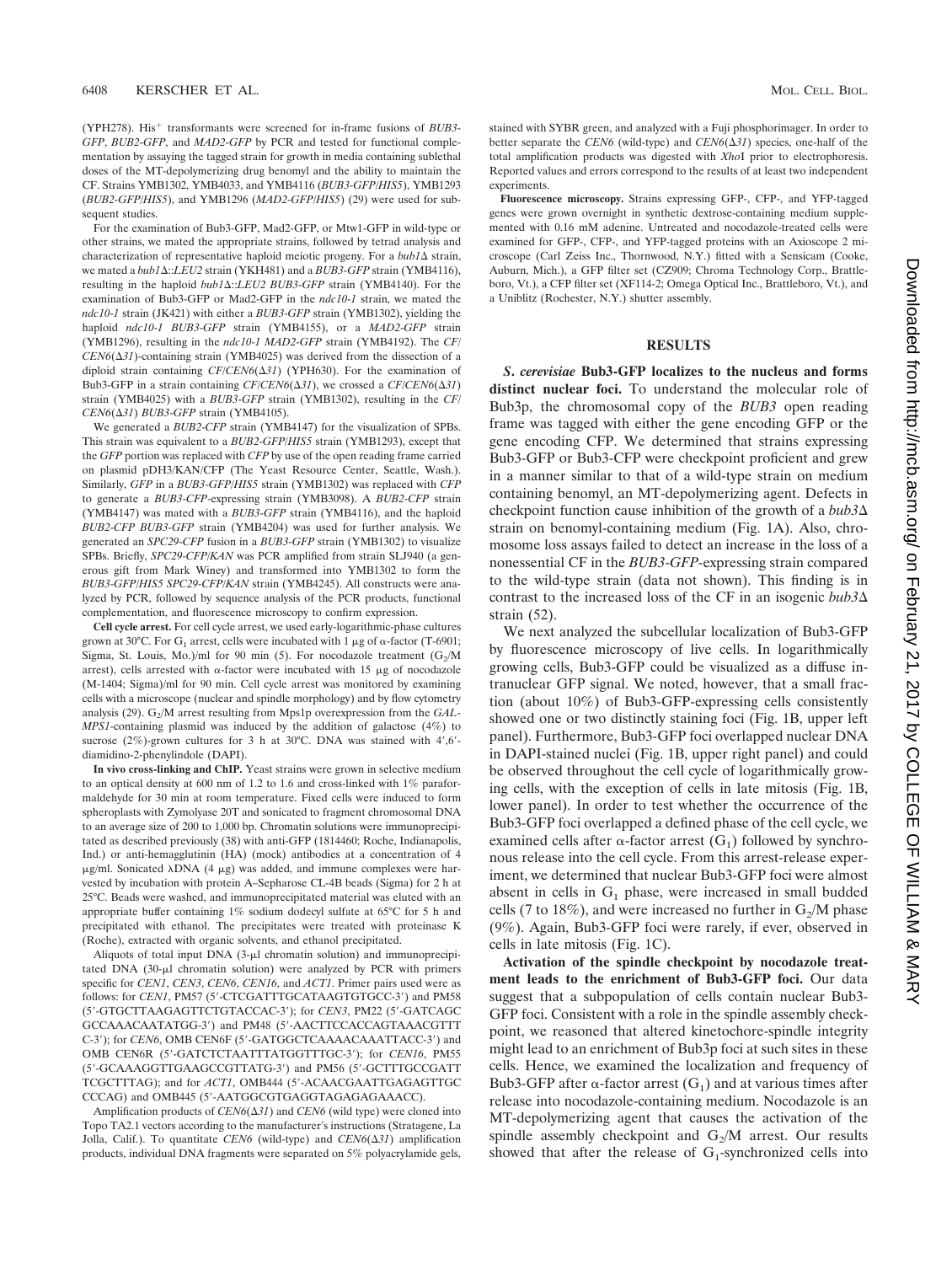(YPH278). His<sup>+</sup> transformants were screened for in-frame fusions of *BUB3*-*GFP*, *BUB2*-*GFP*, and *MAD2*-*GFP* by PCR and tested for functional complementation by assaying the tagged strain for growth in media containing sublethal doses of the MT-depolymerizing drug benomyl and the ability to maintain the CF. Strains YMB1302, YMB4033, and YMB4116 (*BUB3*-*GFP*/*HIS5*), YMB1293 (*BUB2*-*GFP*/*HIS5*), and YMB1296 (*MAD2*-*GFP*/*HIS5*) (29) were used for subsequent studies.

For the examination of Bub3-GFP, Mad2-GFP, or Mtw1-GFP in wild-type or other strains, we mated the appropriate strains, followed by tetrad analysis and characterization of representative haploid meiotic progeny. For a  $bub1\Delta$  strain, we mated a *bub1* $\Delta$ ::*LEU2* strain (YKH481) and a *BUB3-GFP* strain (YMB4116), resulting in the haploid *bub1* $\triangle$ ::*LEU2 BUB3-GFP* strain (YMB4140). For the examination of Bub3-GFP or Mad2-GFP in the *ndc10*-*1* strain, we mated the *ndc10*-*1* strain (JK421) with either a *BUB3*-*GFP* strain (YMB1302), yielding the haploid *ndc10*-*1 BUB3*-*GFP* strain (YMB4155), or a *MAD2*-*GFP* strain (YMB1296), resulting in the *ndc10*-*1 MAD2*-*GFP* strain (YMB4192). The *CF*/  $CEN6(\Delta 31)$ -containing strain (YMB4025) was derived from the dissection of a diploid strain containing  $CF/CEN6(\Delta 31)$  (YPH630). For the examination of Bub3-GFP in a strain containing  $CF/CEN6(\Delta 31)$ , we crossed a  $CF/CEN6(\Delta 31)$ strain (YMB4025) with a *BUB3*-*GFP* strain (YMB1302), resulting in the *CF*/ *CEN6*(Δ31) *BUB3-GFP* strain (YMB4105).

We generated a *BUB2*-*CFP* strain (YMB4147) for the visualization of SPBs. This strain was equivalent to a *BUB2*-*GFP*/*HIS5* strain (YMB1293), except that the *GFP* portion was replaced with *CFP* by use of the open reading frame carried on plasmid pDH3/KAN/CFP (The Yeast Resource Center, Seattle, Wash.). Similarly, *GFP* in a *BUB3*-*GFP*/*HIS5* strain (YMB1302) was replaced with *CFP* to generate a *BUB3*-*CFP*-expressing strain (YMB3098). A *BUB2*-*CFP* strain (YMB4147) was mated with a *BUB3*-*GFP* strain (YMB4116), and the haploid *BUB2*-*CFP BUB3*-*GFP* strain (YMB4204) was used for further analysis. We generated an *SPC29*-*CFP* fusion in a *BUB3*-*GFP* strain (YMB1302) to visualize SPBs. Briefly, *SPC29*-*CFP*/*KAN* was PCR amplified from strain SLJ940 (a generous gift from Mark Winey) and transformed into YMB1302 to form the *BUB3*-*GFP*/*HIS5 SPC29*-*CFP*/*KAN* strain (YMB4245). All constructs were analyzed by PCR, followed by sequence analysis of the PCR products, functional complementation, and fluorescence microscopy to confirm expression.

**Cell cycle arrest.** For cell cycle arrest, we used early-logarithmic-phase cultures grown at 30°C. For  $G_1$  arrest, cells were incubated with 1  $\mu$ g of  $\alpha$ -factor (T-6901; Sigma, St. Louis, Mo.)/ml for 90 min (5). For nocodazole treatment  $(G_2/M)$ arrest), cells arrested with  $\alpha$ -factor were incubated with 15  $\mu$ g of nocodazole (M-1404; Sigma)/ml for 90 min. Cell cycle arrest was monitored by examining cells with a microscope (nuclear and spindle morphology) and by flow cytometry analysis (29). G<sub>2</sub>/M arrest resulting from Mps1p overexpression from the *GAL*-*MPS1*-containing plasmid was induced by the addition of galactose (4%) to sucrose (2%)-grown cultures for 3 h at 30°C. DNA was stained with  $4',6'$ diamidino-2-phenylindole (DAPI).

**In vivo cross-linking and ChIP.** Yeast strains were grown in selective medium to an optical density at 600 nm of 1.2 to 1.6 and cross-linked with 1% paraformaldehyde for 30 min at room temperature. Fixed cells were induced to form spheroplasts with Zymolyase 20T and sonicated to fragment chromosomal DNA to an average size of 200 to 1,000 bp. Chromatin solutions were immunoprecipitated as described previously (38) with anti-GFP (1814460; Roche, Indianapolis, Ind.) or anti-hemagglutinin (HA) (mock) antibodies at a concentration of 4  $\mu$ g/ml. Sonicated  $\lambda$ DNA (4  $\mu$ g) was added, and immune complexes were harvested by incubation with protein A–Sepharose CL-4B beads (Sigma) for 2 h at 25°C. Beads were washed, and immunoprecipitated material was eluted with an appropriate buffer containing 1% sodium dodecyl sulfate at 65°C for 5 h and precipitated with ethanol. The precipitates were treated with proteinase K (Roche), extracted with organic solvents, and ethanol precipitated.

Aliquots of total input DNA (3- $\mu$ l chromatin solution) and immunoprecipitated DNA (30-µl chromatin solution) were analyzed by PCR with primers specific for *CEN1*, *CEN3*, *CEN6*, *CEN16*, and *ACT1*. Primer pairs used were as follows: for *CEN1*, PM57 (5'-CTCGATTTGCATAAGTGTGCC-3') and PM58 (5-GTGCTTAAGAGTTCTGTACCAC-3); for *CEN3*, PM22 (5-GATCAGC GCCAAACAATATGG-3) and PM48 (5-AACTTCCACCAGTAAACGTTT C-3'); for *CEN6*, OMB CEN6F (5'-GATGGCTCAAAACAAATTACC-3') and OMB CEN6R (5-GATCTCTAATTTATGGTTTGC-3); for *CEN16*, PM55 (5-GCAAAGGTTGAAGCCGTTATG-3) and PM56 (5-GCTTTGCCGATT TCGCTTTAG); and for *ACT1*, OMB444 (5-ACAACGAATTGAGAGTTGC CCCAG) and OMB445 (5-AATGGCGTGAGGTAGAGAGAAACC).

Amplification products of  $CEN6(\Delta 31)$  and  $CEN6$  (wild type) were cloned into Topo TA2.1 vectors according to the manufacturer's instructions (Stratagene, La Jolla, Calif.). To quantitate  $CEN6$  (wild-type) and  $CEN6(\Delta 31)$  amplification products, individual DNA fragments were separated on 5% polyacrylamide gels,

stained with SYBR green, and analyzed with a Fuji phosphorimager. In order to better separate the *CEN6* (wild-type) and  $CEN6(\Delta 31)$  species, one-half of the total amplification products was digested with *Xho*I prior to electrophoresis. Reported values and errors correspond to the results of at least two independent experiments.

**Fluorescence microscopy.** Strains expressing GFP-, CFP-, and YFP-tagged genes were grown overnight in synthetic dextrose-containing medium supplemented with 0.16 mM adenine. Untreated and nocodazole-treated cells were examined for GFP-, CFP-, and YFP-tagged proteins with an Axioscope 2 microscope (Carl Zeiss Inc., Thornwood, N.Y.) fitted with a Sensicam (Cooke, Auburn, Mich.), a GFP filter set (CZ909; Chroma Technology Corp., Brattleboro, Vt.), a CFP filter set (XF114-2; Omega Optical Inc., Brattleboro, Vt.), and a Uniblitz (Rochester, N.Y.) shutter assembly.

#### **RESULTS**

*S***.** *cerevisiae* **Bub3-GFP localizes to the nucleus and forms distinct nuclear foci.** To understand the molecular role of Bub3p, the chromosomal copy of the *BUB3* open reading frame was tagged with either the gene encoding GFP or the gene encoding CFP. We determined that strains expressing Bub3-GFP or Bub3-CFP were checkpoint proficient and grew in a manner similar to that of a wild-type strain on medium containing benomyl, an MT-depolymerizing agent. Defects in checkpoint function cause inhibition of the growth of a *bub3* strain on benomyl-containing medium (Fig. 1A). Also, chromosome loss assays failed to detect an increase in the loss of a nonessential CF in the *BUB3*-*GFP*-expressing strain compared to the wild-type strain (data not shown). This finding is in contrast to the increased loss of the CF in an isogenic *bub3* strain (52).

We next analyzed the subcellular localization of Bub3-GFP by fluorescence microscopy of live cells. In logarithmically growing cells, Bub3-GFP could be visualized as a diffuse intranuclear GFP signal. We noted, however, that a small fraction (about 10%) of Bub3-GFP-expressing cells consistently showed one or two distinctly staining foci (Fig. 1B, upper left panel). Furthermore, Bub3-GFP foci overlapped nuclear DNA in DAPI-stained nuclei (Fig. 1B, upper right panel) and could be observed throughout the cell cycle of logarithmically growing cells, with the exception of cells in late mitosis (Fig. 1B, lower panel). In order to test whether the occurrence of the Bub3-GFP foci overlapped a defined phase of the cell cycle, we examined cells after  $\alpha$ -factor arrest  $(G_1)$  followed by synchronous release into the cell cycle. From this arrest-release experiment, we determined that nuclear Bub3-GFP foci were almost absent in cells in  $G_1$  phase, were increased in small budded cells (7 to 18%), and were increased no further in  $G_2/M$  phase (9%). Again, Bub3-GFP foci were rarely, if ever, observed in cells in late mitosis (Fig. 1C).

**Activation of the spindle checkpoint by nocodazole treatment leads to the enrichment of Bub3-GFP foci.** Our data suggest that a subpopulation of cells contain nuclear Bub3- GFP foci. Consistent with a role in the spindle assembly checkpoint, we reasoned that altered kinetochore-spindle integrity might lead to an enrichment of Bub3p foci at such sites in these cells. Hence, we examined the localization and frequency of Bub3-GFP after  $\alpha$ -factor arrest  $(G_1)$  and at various times after release into nocodazole-containing medium. Nocodazole is an MT-depolymerizing agent that causes the activation of the spindle assembly checkpoint and  $G_2/M$  arrest. Our results showed that after the release of  $G_1$ -synchronized cells into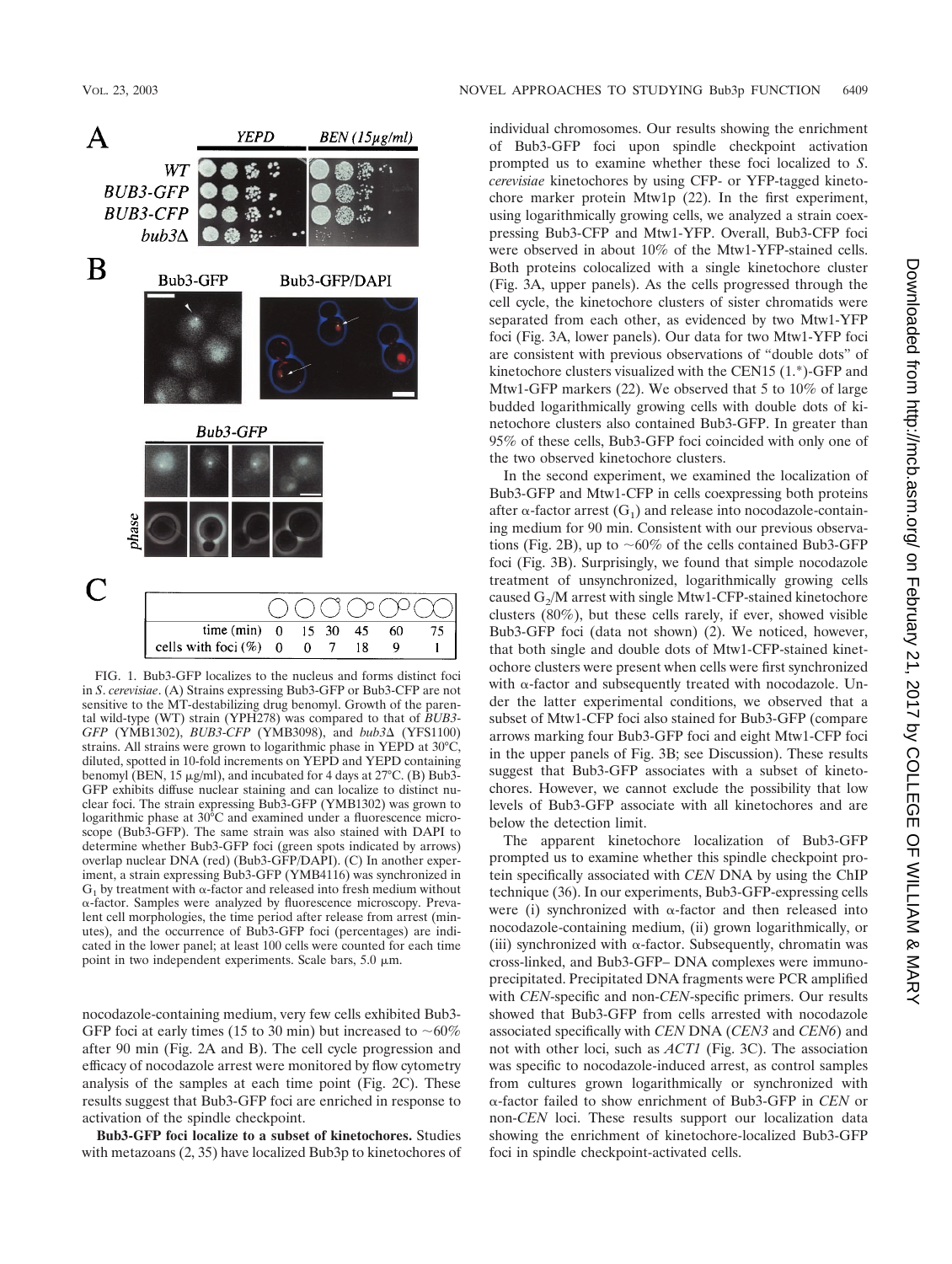

FIG. 1. Bub3-GFP localizes to the nucleus and forms distinct foci in *S*. *cerevisiae*. (A) Strains expressing Bub3-GFP or Bub3-CFP are not sensitive to the MT-destabilizing drug benomyl. Growth of the parental wild-type (WT) strain (YPH278) was compared to that of *BUB3*- *GFP* (YMB1302), *BUB3-CFP* (YMB3098), and *bub3* $\Delta$  (YFS1100) strains. All strains were grown to logarithmic phase in YEPD at 30°C, diluted, spotted in 10-fold increments on YEPD and YEPD containing benomyl (BEN, 15  $\mu$ g/ml), and incubated for 4 days at 27°C. (B) Bub3-GFP exhibits diffuse nuclear staining and can localize to distinct nuclear foci. The strain expressing Bub3-GFP (YMB1302) was grown to logarithmic phase at 30°C and examined under a fluorescence microscope (Bub3-GFP). The same strain was also stained with DAPI to determine whether Bub3-GFP foci (green spots indicated by arrows) overlap nuclear DNA (red) (Bub3-GFP/DAPI). (C) In another experiment, a strain expressing Bub3-GFP (YMB4116) was synchronized in  $G_1$  by treatment with  $\alpha$ -factor and released into fresh medium without -factor. Samples were analyzed by fluorescence microscopy. Prevalent cell morphologies, the time period after release from arrest (minutes), and the occurrence of Bub3-GFP foci (percentages) are indicated in the lower panel; at least 100 cells were counted for each time point in two independent experiments. Scale bars,  $5.0 \mu m$ .

 $\boldsymbol{0}$ 15

 $\boldsymbol{0}$ 

 $30\,$ 

 $\mathbf 0$  $\overline{7}$  45

18

60

9

75

 $\mathbf{I}$ 

time (min)

cells with foci  $(\%)$ 

nocodazole-containing medium, very few cells exhibited Bub3- GFP foci at early times (15 to 30 min) but increased to  $~60\%$ after 90 min (Fig. 2A and B). The cell cycle progression and efficacy of nocodazole arrest were monitored by flow cytometry analysis of the samples at each time point (Fig. 2C). These results suggest that Bub3-GFP foci are enriched in response to activation of the spindle checkpoint.

**Bub3-GFP foci localize to a subset of kinetochores.** Studies with metazoans (2, 35) have localized Bub3p to kinetochores of individual chromosomes. Our results showing the enrichment of Bub3-GFP foci upon spindle checkpoint activation prompted us to examine whether these foci localized to *S*. *cerevisiae* kinetochores by using CFP- or YFP-tagged kinetochore marker protein Mtw1p (22). In the first experiment, using logarithmically growing cells, we analyzed a strain coexpressing Bub3-CFP and Mtw1-YFP. Overall, Bub3-CFP foci were observed in about 10% of the Mtw1-YFP-stained cells. Both proteins colocalized with a single kinetochore cluster (Fig. 3A, upper panels). As the cells progressed through the cell cycle, the kinetochore clusters of sister chromatids were separated from each other, as evidenced by two Mtw1-YFP foci (Fig. 3A, lower panels). Our data for two Mtw1-YFP foci are consistent with previous observations of "double dots" of kinetochore clusters visualized with the CEN15 (1.\*)-GFP and Mtw1-GFP markers (22). We observed that 5 to 10% of large budded logarithmically growing cells with double dots of kinetochore clusters also contained Bub3-GFP. In greater than 95% of these cells, Bub3-GFP foci coincided with only one of the two observed kinetochore clusters.

In the second experiment, we examined the localization of Bub3-GFP and Mtw1-CFP in cells coexpressing both proteins after  $\alpha$ -factor arrest (G<sub>1</sub>) and release into nocodazole-containing medium for 90 min. Consistent with our previous observations (Fig. 2B), up to  $\sim 60\%$  of the cells contained Bub3-GFP foci (Fig. 3B). Surprisingly, we found that simple nocodazole treatment of unsynchronized, logarithmically growing cells caused  $G_2/M$  arrest with single Mtw1-CFP-stained kinetochore clusters (80%), but these cells rarely, if ever, showed visible Bub3-GFP foci (data not shown) (2). We noticed, however, that both single and double dots of Mtw1-CFP-stained kinetochore clusters were present when cells were first synchronized with  $\alpha$ -factor and subsequently treated with nocodazole. Under the latter experimental conditions, we observed that a subset of Mtw1-CFP foci also stained for Bub3-GFP (compare arrows marking four Bub3-GFP foci and eight Mtw1-CFP foci in the upper panels of Fig. 3B; see Discussion). These results suggest that Bub3-GFP associates with a subset of kinetochores. However, we cannot exclude the possibility that low levels of Bub3-GFP associate with all kinetochores and are below the detection limit.

The apparent kinetochore localization of Bub3-GFP prompted us to examine whether this spindle checkpoint protein specifically associated with *CEN* DNA by using the ChIP technique (36). In our experiments, Bub3-GFP-expressing cells were (i) synchronized with  $\alpha$ -factor and then released into nocodazole-containing medium, (ii) grown logarithmically, or (iii) synchronized with  $\alpha$ -factor. Subsequently, chromatin was cross-linked, and Bub3-GFP– DNA complexes were immunoprecipitated. Precipitated DNA fragments were PCR amplified with *CEN*-specific and non-*CEN*-specific primers. Our results showed that Bub3-GFP from cells arrested with nocodazole associated specifically with *CEN* DNA (*CEN3* and *CEN6*) and not with other loci, such as *ACT1* (Fig. 3C). The association was specific to nocodazole-induced arrest, as control samples from cultures grown logarithmically or synchronized with -factor failed to show enrichment of Bub3-GFP in *CEN* or non-*CEN* loci. These results support our localization data showing the enrichment of kinetochore-localized Bub3-GFP foci in spindle checkpoint-activated cells.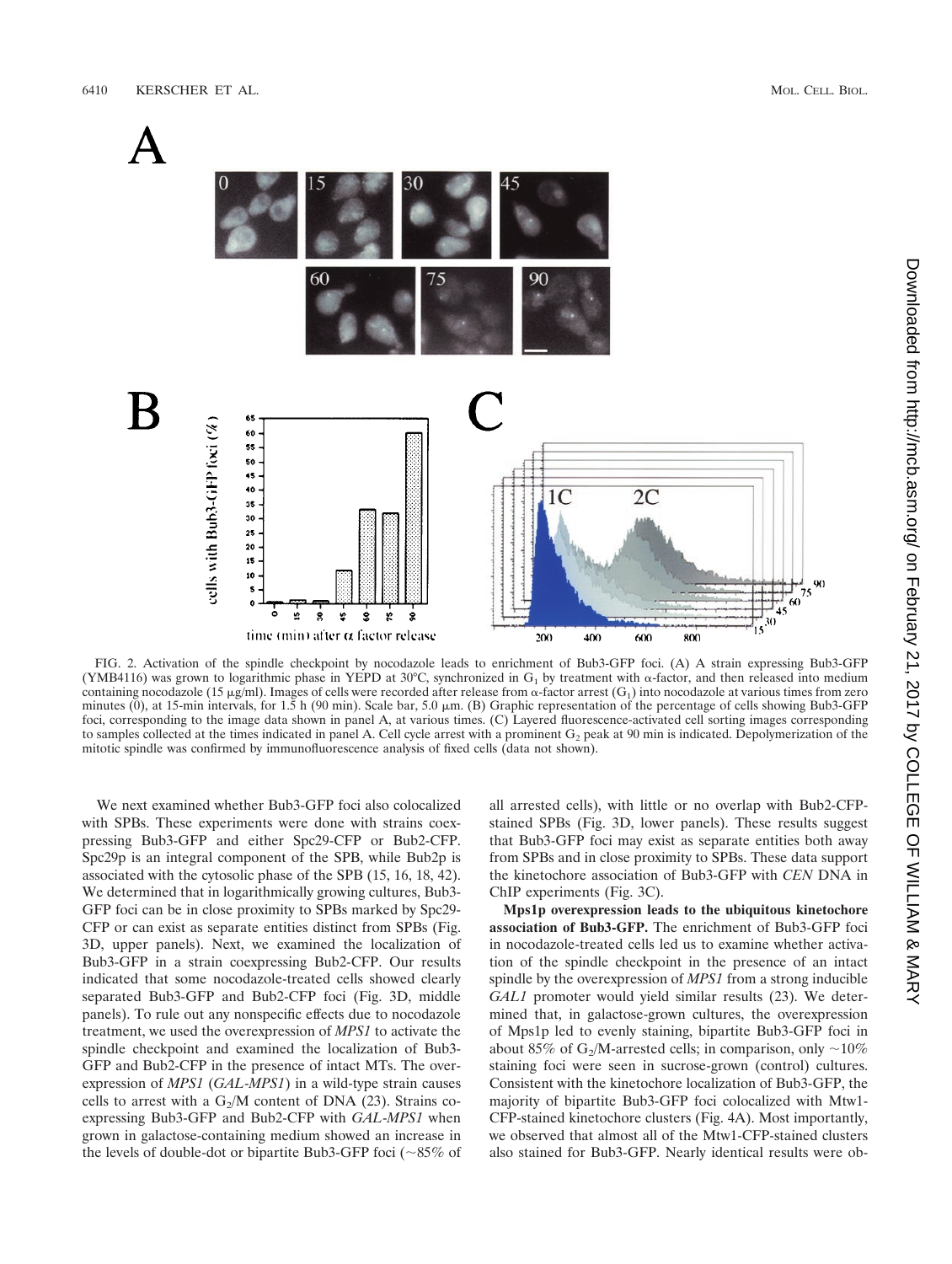

FIG. 2. Activation of the spindle checkpoint by nocodazole leads to enrichment of Bub3-GFP foci. (A) A strain expressing Bub3-GFP (YMB4116) was grown to logarithmic phase in YEPD at 30°C, synchronized in  $G_1$  by treatment with  $\alpha$ -factor, and then released into medium containing nocodazole (15  $\mu$ g/ml). Images of cells were recorded after release from  $\alpha$ -factor arrest (G<sub>1</sub>) into nocodazole at various times from zero minutes (0), at 15-min intervals, for 1.5 h (90 min). Scale bar, 5.0 m. (B) Graphic representation of the percentage of cells showing Bub3-GFP foci, corresponding to the image data shown in panel A, at various times. (C) Layered fluorescence-activated cell sorting images corresponding to samples collected at the times indicated in panel A. Cell cycle arrest with a prominent  $G<sub>2</sub>$  peak at 90 min is indicated. Depolymerization of the mitotic spindle was confirmed by immunofluorescence analysis of fixed cells (data not shown).

We next examined whether Bub3-GFP foci also colocalized with SPBs. These experiments were done with strains coexpressing Bub3-GFP and either Spc29-CFP or Bub2-CFP. Spc29p is an integral component of the SPB, while Bub2p is associated with the cytosolic phase of the SPB (15, 16, 18, 42). We determined that in logarithmically growing cultures, Bub3- GFP foci can be in close proximity to SPBs marked by Spc29- CFP or can exist as separate entities distinct from SPBs (Fig. 3D, upper panels). Next, we examined the localization of Bub3-GFP in a strain coexpressing Bub2-CFP. Our results indicated that some nocodazole-treated cells showed clearly separated Bub3-GFP and Bub2-CFP foci (Fig. 3D, middle panels). To rule out any nonspecific effects due to nocodazole treatment, we used the overexpression of *MPS1* to activate the spindle checkpoint and examined the localization of Bub3- GFP and Bub2-CFP in the presence of intact MTs. The overexpression of *MPS1* (*GAL*-*MPS1*) in a wild-type strain causes cells to arrest with a  $G_2/M$  content of DNA (23). Strains coexpressing Bub3-GFP and Bub2-CFP with *GAL*-*MPS1* when grown in galactose-containing medium showed an increase in the levels of double-dot or bipartite Bub3-GFP foci ( $\sim$ 85% of all arrested cells), with little or no overlap with Bub2-CFPstained SPBs (Fig. 3D, lower panels). These results suggest that Bub3-GFP foci may exist as separate entities both away from SPBs and in close proximity to SPBs. These data support the kinetochore association of Bub3-GFP with *CEN* DNA in ChIP experiments (Fig. 3C).

**Mps1p overexpression leads to the ubiquitous kinetochore association of Bub3-GFP.** The enrichment of Bub3-GFP foci in nocodazole-treated cells led us to examine whether activation of the spindle checkpoint in the presence of an intact spindle by the overexpression of *MPS1* from a strong inducible *GAL1* promoter would yield similar results (23). We determined that, in galactose-grown cultures, the overexpression of Mps1p led to evenly staining, bipartite Bub3-GFP foci in about 85% of G<sub>2</sub>/M-arrested cells; in comparison, only  $\sim$ 10% staining foci were seen in sucrose-grown (control) cultures. Consistent with the kinetochore localization of Bub3-GFP, the majority of bipartite Bub3-GFP foci colocalized with Mtw1- CFP-stained kinetochore clusters (Fig. 4A). Most importantly, we observed that almost all of the Mtw1-CFP-stained clusters also stained for Bub3-GFP. Nearly identical results were ob-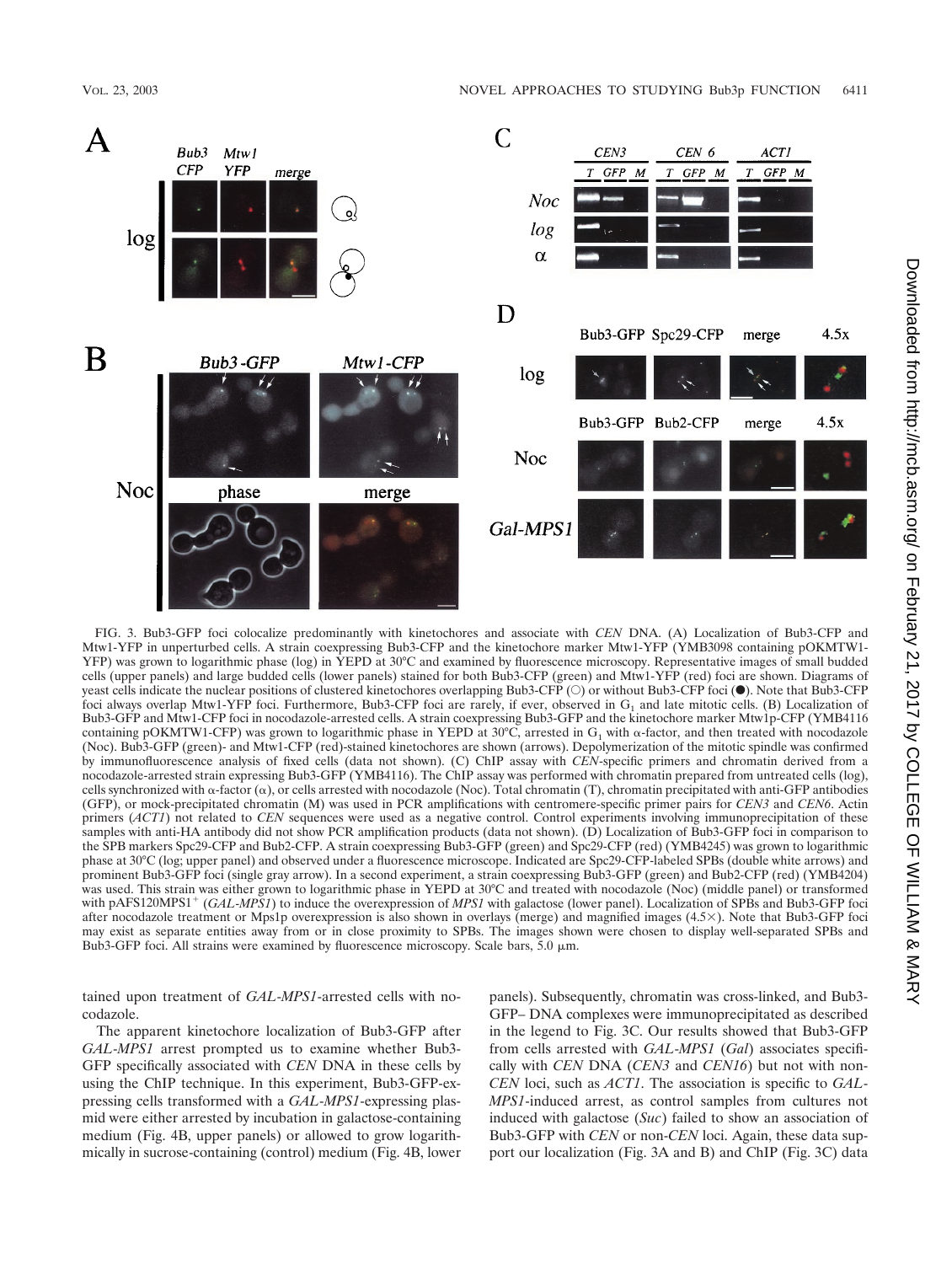

FIG. 3. Bub3-GFP foci colocalize predominantly with kinetochores and associate with *CEN* DNA. (A) Localization of Bub3-CFP and Mtw1-YFP in unperturbed cells. A strain coexpressing Bub3-CFP and the kinetochore marker Mtw1-YFP (YMB3098 containing pOKMTW1- YFP) was grown to logarithmic phase (log) in YEPD at 30°C and examined by fluorescence microscopy. Representative images of small budded cells (upper panels) and large budded cells (lower panels) stained for both Bub3-CFP (green) and Mtw1-YFP (red) foci are shown. Diagrams of yeast cells indicate the nuclear positions of clustered kinetochores overlapping Bub3-CFP (O) or without Bub3-CFP foci (.). Note that Bub3-CFP foci always overlap Mtw1-YFP foci. Furthermore, Bub3-CFP foci are rarely, if ever, observed in  $G_1$  and late mitotic cells. (B) Localization of Bub3-GFP and Mtw1-CFP foci in nocodazole-arrested cells. A strain coexpressing Bub3-GFP and the kinetochore marker Mtw1p-CFP (YMB4116 containing pOKMTW1-CFP) was grown to logarithmic phase in YEPD at 30°C, arrested in  $G_1$  with  $\alpha$ -factor, and then treated with nocodazole (Noc). Bub3-GFP (green)- and Mtw1-CFP (red)-stained kinetochores are shown (arrows). Depolymerization of the mitotic spindle was confirmed by immunofluorescence analysis of fixed cells (data not shown). (C) ChIP assay with *CEN*-specific primers and chromatin derived from a nocodazole-arrested strain expressing Bub3-GFP (YMB4116). The ChIP assay was performed with chromatin prepared from untreated cells (log), cells synchronized with  $\alpha$ -factor  $(\alpha)$ , or cells arrested with nocodazole (Noc). Total chromatin (T), chromatin precipitated with anti-GFP antibodies (GFP), or mock-precipitated chromatin (M) was used in PCR amplifications with centromere-specific primer pairs for *CEN3* and *CEN6*. Actin primers (*ACT1*) not related to *CEN* sequences were used as a negative control. Control experiments involving immunoprecipitation of these samples with anti-HA antibody did not show PCR amplification products (data not shown). (D) Localization of Bub3-GFP foci in comparison to the SPB markers Spc29-CFP and Bub2-CFP. A strain coexpressing Bub3-GFP (green) and Spc29-CFP (red) (YMB4245) was grown to logarithmic phase at 30°C (log; upper panel) and observed under a fluorescence microscope. Indicated are Spc29-CFP-labeled SPBs (double white arrows) and prominent Bub3-GFP foci (single gray arrow). In a second experiment, a strain coexpressing Bub3-GFP (green) and Bub2-CFP (red) (YMB4204) was used. This strain was either grown to logarithmic phase in YEPD at 30°C and treated with nocodazole (Noc) (middle panel) or transformed with pAFS120MPS1<sup>+</sup> (GAL-*MPS1*) to induce the overexpression of *MPS1* with galactose (lower panel). Localization of SPBs and Bub3-GFP foci after nocodazole treatment or Mps1p overexpression is also shown in overlays (merge) and magnified images  $(4.5\times)$ . Note that Bub3-GFP foci may exist as separate entities away from or in close proximity to SPBs. The images shown were chosen to display well-separated SPBs and Bub3-GFP foci. All strains were examined by fluorescence microscopy. Scale bars, 5.0  $\mu$ m.

tained upon treatment of *GAL*-*MPS1*-arrested cells with nocodazole.

The apparent kinetochore localization of Bub3-GFP after *GAL*-*MPS1* arrest prompted us to examine whether Bub3- GFP specifically associated with *CEN* DNA in these cells by using the ChIP technique. In this experiment, Bub3-GFP-expressing cells transformed with a *GAL*-*MPS1*-expressing plasmid were either arrested by incubation in galactose-containing medium (Fig. 4B, upper panels) or allowed to grow logarithmically in sucrose-containing (control) medium (Fig. 4B, lower

panels). Subsequently, chromatin was cross-linked, and Bub3- GFP– DNA complexes were immunoprecipitated as described in the legend to Fig. 3C. Our results showed that Bub3-GFP from cells arrested with *GAL*-*MPS1* (*Gal*) associates specifically with *CEN* DNA (*CEN3* and *CEN16*) but not with non-*CEN* loci, such as *ACT1*. The association is specific to *GAL*-*MPS1*-induced arrest, as control samples from cultures not induced with galactose (*Suc*) failed to show an association of Bub3-GFP with *CEN* or non-*CEN* loci. Again, these data support our localization (Fig. 3A and B) and ChIP (Fig. 3C) data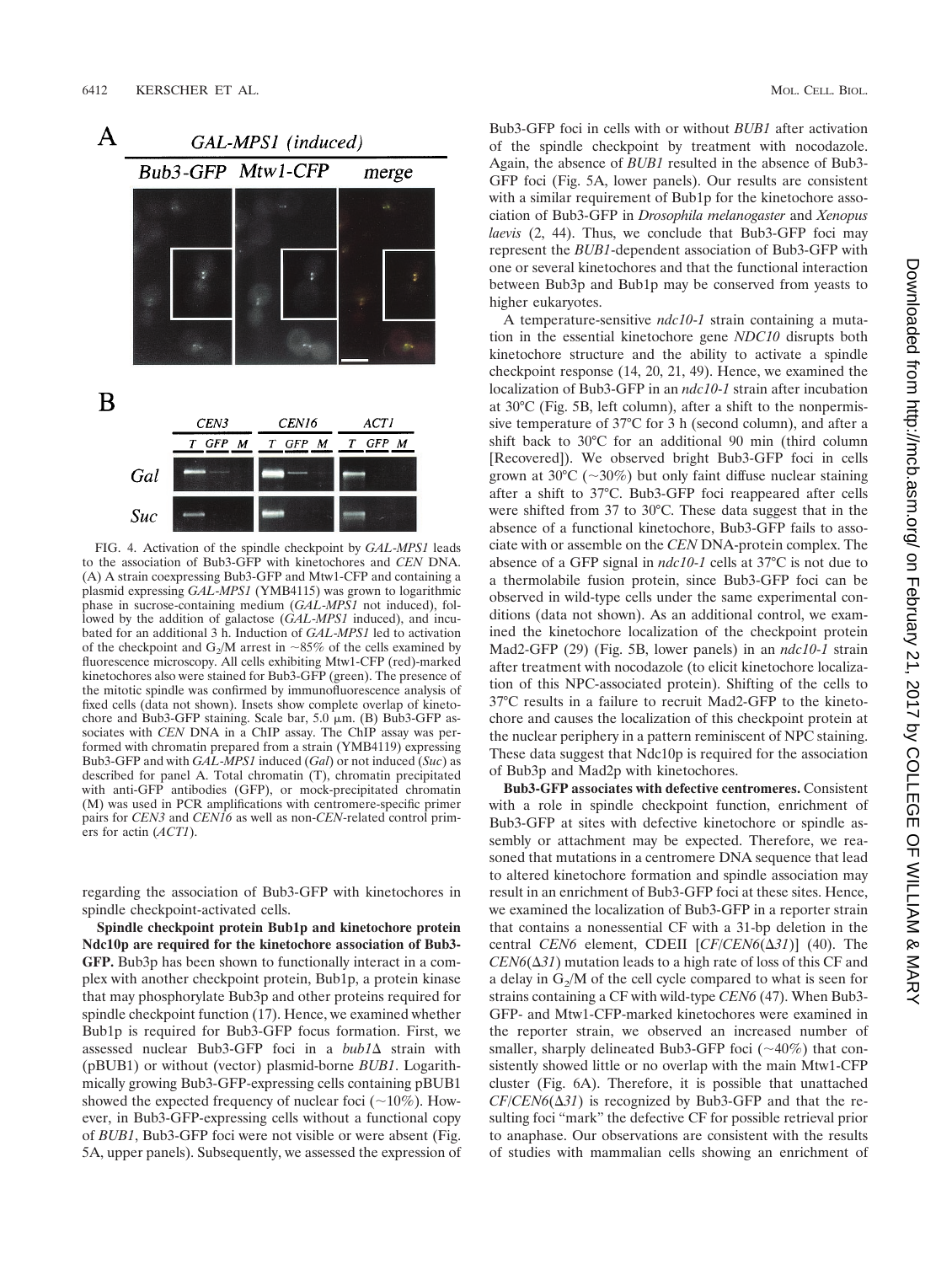

FIG. 4. Activation of the spindle checkpoint by *GAL*-*MPS1* leads to the association of Bub3-GFP with kinetochores and *CEN* DNA. (A) A strain coexpressing Bub3-GFP and Mtw1-CFP and containing a plasmid expressing *GAL*-*MPS1* (YMB4115) was grown to logarithmic phase in sucrose-containing medium (*GAL*-*MPS1* not induced), followed by the addition of galactose (*GAL*-*MPS1* induced), and incubated for an additional 3 h. Induction of *GAL*-*MPS1* led to activation of the checkpoint and  $G_2/M$  arrest in ~85% of the cells examined by fluorescence microscopy. All cells exhibiting Mtw1-CFP (red)-marked kinetochores also were stained for Bub3-GFP (green). The presence of the mitotic spindle was confirmed by immunofluorescence analysis of fixed cells (data not shown). Insets show complete overlap of kinetochore and Bub3-GFP staining. Scale bar,  $5.0 \mu m$ . (B) Bub3-GFP associates with *CEN* DNA in a ChIP assay. The ChIP assay was performed with chromatin prepared from a strain (YMB4119) expressing Bub3-GFP and with *GAL*-*MPS1* induced (*Gal*) or not induced (*Suc*) as described for panel A. Total chromatin (T), chromatin precipitated with anti-GFP antibodies (GFP), or mock-precipitated chromatin (M) was used in PCR amplifications with centromere-specific primer pairs for *CEN3* and *CEN16* as well as non-*CEN*-related control primers for actin (*ACT1*).

regarding the association of Bub3-GFP with kinetochores in spindle checkpoint-activated cells.

**Spindle checkpoint protein Bub1p and kinetochore protein Ndc10p are required for the kinetochore association of Bub3- GFP.** Bub3p has been shown to functionally interact in a complex with another checkpoint protein, Bub1p, a protein kinase that may phosphorylate Bub3p and other proteins required for spindle checkpoint function (17). Hence, we examined whether Bub1p is required for Bub3-GFP focus formation. First, we assessed nuclear Bub3-GFP foci in a *bub1* $\Delta$  strain with (pBUB1) or without (vector) plasmid-borne *BUB1*. Logarithmically growing Bub3-GFP-expressing cells containing pBUB1 showed the expected frequency of nuclear foci ( $\sim$ 10%). However, in Bub3-GFP-expressing cells without a functional copy of *BUB1*, Bub3-GFP foci were not visible or were absent (Fig. 5A, upper panels). Subsequently, we assessed the expression of Bub3-GFP foci in cells with or without *BUB1* after activation of the spindle checkpoint by treatment with nocodazole. Again, the absence of *BUB1* resulted in the absence of Bub3- GFP foci (Fig. 5A, lower panels). Our results are consistent with a similar requirement of Bub1p for the kinetochore association of Bub3-GFP in *Drosophila melanogaster* and *Xenopus laevis* (2, 44). Thus, we conclude that Bub3-GFP foci may represent the *BUB1*-dependent association of Bub3-GFP with one or several kinetochores and that the functional interaction between Bub3p and Bub1p may be conserved from yeasts to higher eukaryotes.

A temperature-sensitive *ndc10*-*1* strain containing a mutation in the essential kinetochore gene *NDC10* disrupts both kinetochore structure and the ability to activate a spindle checkpoint response (14, 20, 21, 49). Hence, we examined the localization of Bub3-GFP in an *ndc10*-*1* strain after incubation at 30°C (Fig. 5B, left column), after a shift to the nonpermissive temperature of 37°C for 3 h (second column), and after a shift back to 30°C for an additional 90 min (third column [Recovered]). We observed bright Bub3-GFP foci in cells grown at 30 $\degree$ C ( $\sim$ 30%) but only faint diffuse nuclear staining after a shift to 37°C. Bub3-GFP foci reappeared after cells were shifted from 37 to 30°C. These data suggest that in the absence of a functional kinetochore, Bub3-GFP fails to associate with or assemble on the *CEN* DNA-protein complex. The absence of a GFP signal in *ndc10*-*1* cells at 37°C is not due to a thermolabile fusion protein, since Bub3-GFP foci can be observed in wild-type cells under the same experimental conditions (data not shown). As an additional control, we examined the kinetochore localization of the checkpoint protein Mad2-GFP (29) (Fig. 5B, lower panels) in an *ndc10*-*1* strain after treatment with nocodazole (to elicit kinetochore localization of this NPC-associated protein). Shifting of the cells to 37°C results in a failure to recruit Mad2-GFP to the kinetochore and causes the localization of this checkpoint protein at the nuclear periphery in a pattern reminiscent of NPC staining. These data suggest that Ndc10p is required for the association of Bub3p and Mad2p with kinetochores.

**Bub3-GFP associates with defective centromeres.** Consistent with a role in spindle checkpoint function, enrichment of Bub3-GFP at sites with defective kinetochore or spindle assembly or attachment may be expected. Therefore, we reasoned that mutations in a centromere DNA sequence that lead to altered kinetochore formation and spindle association may result in an enrichment of Bub3-GFP foci at these sites. Hence, we examined the localization of Bub3-GFP in a reporter strain that contains a nonessential CF with a 31-bp deletion in the central *CEN6* element, CDEII  $[CF/CEN6(\Delta 31)]$  (40). The  $CEN6(\Delta 31)$  mutation leads to a high rate of loss of this CF and a delay in  $G_2/M$  of the cell cycle compared to what is seen for strains containing a CF with wild-type *CEN6* (47). When Bub3- GFP- and Mtw1-CFP-marked kinetochores were examined in the reporter strain, we observed an increased number of smaller, sharply delineated Bub3-GFP foci  $(\sim 40\%)$  that consistently showed little or no overlap with the main Mtw1-CFP cluster (Fig. 6A). Therefore, it is possible that unattached  $CF/CEN6(\Delta 31)$  is recognized by Bub3-GFP and that the resulting foci "mark" the defective CF for possible retrieval prior to anaphase. Our observations are consistent with the results of studies with mammalian cells showing an enrichment of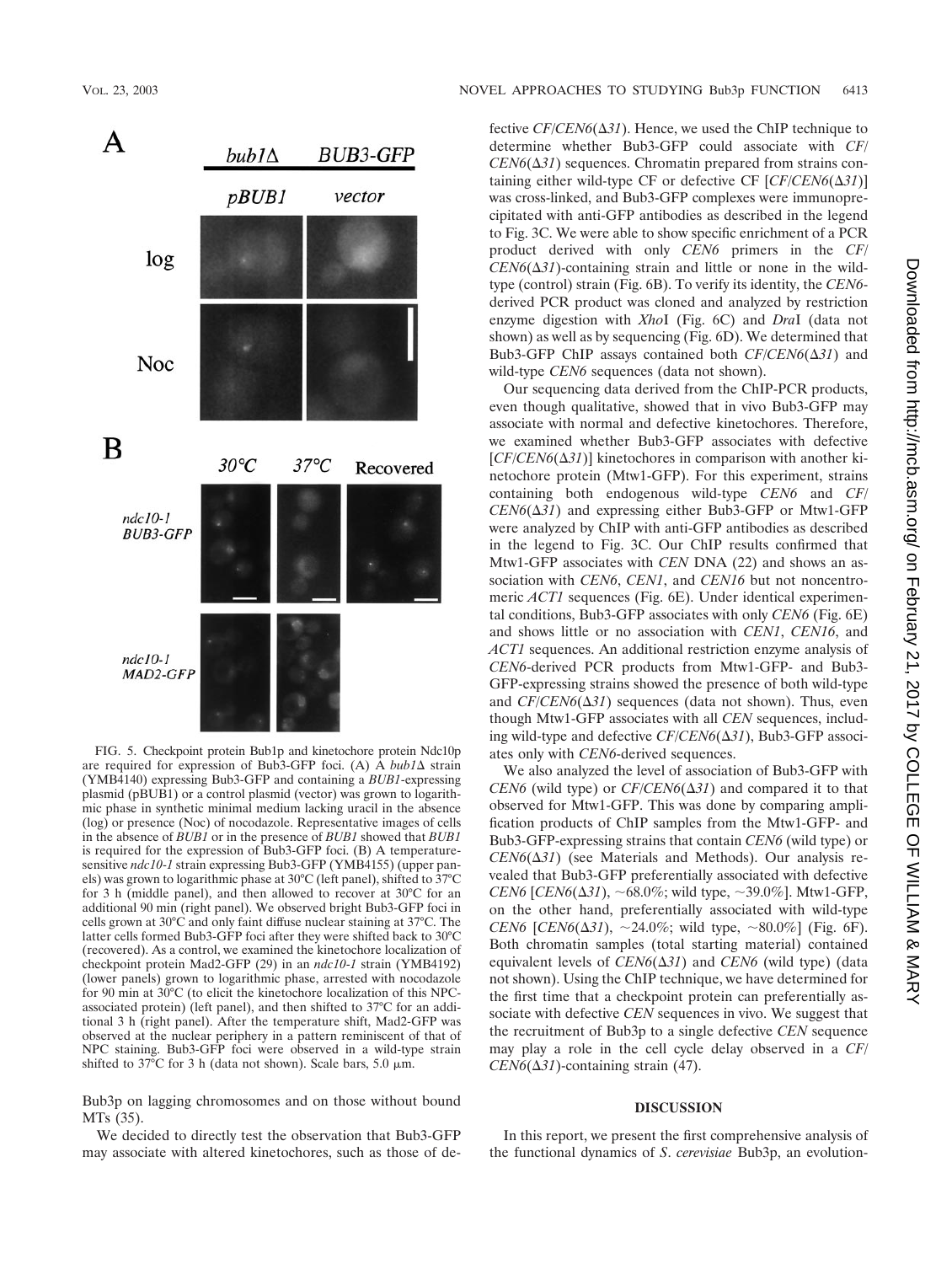



FIG. 5. Checkpoint protein Bub1p and kinetochore protein Ndc10p are required for expression of Bub3-GFP foci. (A) A *bub1* $\Delta$  strain (YMB4140) expressing Bub3-GFP and containing a *BUB1*-expressing plasmid (pBUB1) or a control plasmid (vector) was grown to logarithmic phase in synthetic minimal medium lacking uracil in the absence (log) or presence (Noc) of nocodazole. Representative images of cells in the absence of *BUB1* or in the presence of *BUB1* showed that *BUB1* is required for the expression of Bub3-GFP foci. (B) A temperaturesensitive *ndc10*-*1* strain expressing Bub3-GFP (YMB4155) (upper panels) was grown to logarithmic phase at 30°C (left panel), shifted to 37°C for 3 h (middle panel), and then allowed to recover at 30°C for an additional 90 min (right panel). We observed bright Bub3-GFP foci in cells grown at 30°C and only faint diffuse nuclear staining at 37°C. The latter cells formed Bub3-GFP foci after they were shifted back to 30°C (recovered). As a control, we examined the kinetochore localization of checkpoint protein Mad2-GFP (29) in an *ndc10*-*1* strain (YMB4192) (lower panels) grown to logarithmic phase, arrested with nocodazole for 90 min at 30°C (to elicit the kinetochore localization of this NPCassociated protein) (left panel), and then shifted to 37°C for an additional 3 h (right panel). After the temperature shift, Mad2-GFP was observed at the nuclear periphery in a pattern reminiscent of that of NPC staining. Bub3-GFP foci were observed in a wild-type strain shifted to 37°C for 3 h (data not shown). Scale bars, 5.0  $\mu$ m.

Bub3p on lagging chromosomes and on those without bound MTs (35).

We decided to directly test the observation that Bub3-GFP may associate with altered kinetochores, such as those of de-

fective  $CF/CEN6(\Delta 31)$ . Hence, we used the ChIP technique to determine whether Bub3-GFP could associate with *CF*/  $CEN6(\Delta 31)$  sequences. Chromatin prepared from strains containing either wild-type CF or defective CF  $[CF/CEN6(\Delta 31)]$ was cross-linked, and Bub3-GFP complexes were immunoprecipitated with anti-GFP antibodies as described in the legend to Fig. 3C. We were able to show specific enrichment of a PCR product derived with only *CEN6* primers in the *CF*/  $CEN6(\Delta 31)$ -containing strain and little or none in the wildtype (control) strain (Fig. 6B). To verify its identity, the *CEN6* derived PCR product was cloned and analyzed by restriction enzyme digestion with *Xho*I (Fig. 6C) and *Dra*I (data not shown) as well as by sequencing (Fig. 6D). We determined that Bub3-GFP ChIP assays contained both  $CF/CEN6(\Delta 31)$  and wild-type *CEN6* sequences (data not shown).

Our sequencing data derived from the ChIP-PCR products, even though qualitative, showed that in vivo Bub3-GFP may associate with normal and defective kinetochores. Therefore, we examined whether Bub3-GFP associates with defective  $[CF/CEN6(\Delta 31)]$  kinetochores in comparison with another kinetochore protein (Mtw1-GFP). For this experiment, strains containing both endogenous wild-type *CEN6* and *CF*/  $CEN6(\Delta 31)$  and expressing either Bub3-GFP or Mtw1-GFP were analyzed by ChIP with anti-GFP antibodies as described in the legend to Fig. 3C. Our ChIP results confirmed that Mtw1-GFP associates with *CEN* DNA (22) and shows an association with *CEN6*, *CEN1*, and *CEN16* but not noncentromeric *ACT1* sequences (Fig. 6E). Under identical experimental conditions, Bub3-GFP associates with only *CEN6* (Fig. 6E) and shows little or no association with *CEN1*, *CEN16*, and *ACT1* sequences. An additional restriction enzyme analysis of *CEN6*-derived PCR products from Mtw1-GFP- and Bub3- GFP-expressing strains showed the presence of both wild-type and  $CF/CEN6(\Delta 31)$  sequences (data not shown). Thus, even though Mtw1-GFP associates with all *CEN* sequences, including wild-type and defective *CF/CEN6*(Δ31), Bub3-GFP associates only with *CEN6*-derived sequences.

We also analyzed the level of association of Bub3-GFP with  $CEN6$  (wild type) or  $CF/CEN6(\Delta 31)$  and compared it to that observed for Mtw1-GFP. This was done by comparing amplification products of ChIP samples from the Mtw1-GFP- and Bub3-GFP-expressing strains that contain *CEN6* (wild type) or  $CEN6(\Delta 31)$  (see Materials and Methods). Our analysis revealed that Bub3-GFP preferentially associated with defective  $CEN6$  [*CEN6*( $\Delta$ 31), ~68.0%; wild type, ~39.0%]. Mtw1-GFP, on the other hand, preferentially associated with wild-type *CEN6* [*CEN6*( $\Delta$ 31),  $\sim$  24.0%; wild type,  $\sim$  80.0%] (Fig. 6F). Both chromatin samples (total starting material) contained equivalent levels of  $CEN6(\Delta 31)$  and  $CEN6$  (wild type) (data not shown). Using the ChIP technique, we have determined for the first time that a checkpoint protein can preferentially associate with defective *CEN* sequences in vivo. We suggest that the recruitment of Bub3p to a single defective *CEN* sequence may play a role in the cell cycle delay observed in a *CF*/  $CEN6(\Delta 31)$ -containing strain (47).

#### **DISCUSSION**

In this report, we present the first comprehensive analysis of the functional dynamics of *S*. *cerevisiae* Bub3p, an evolution-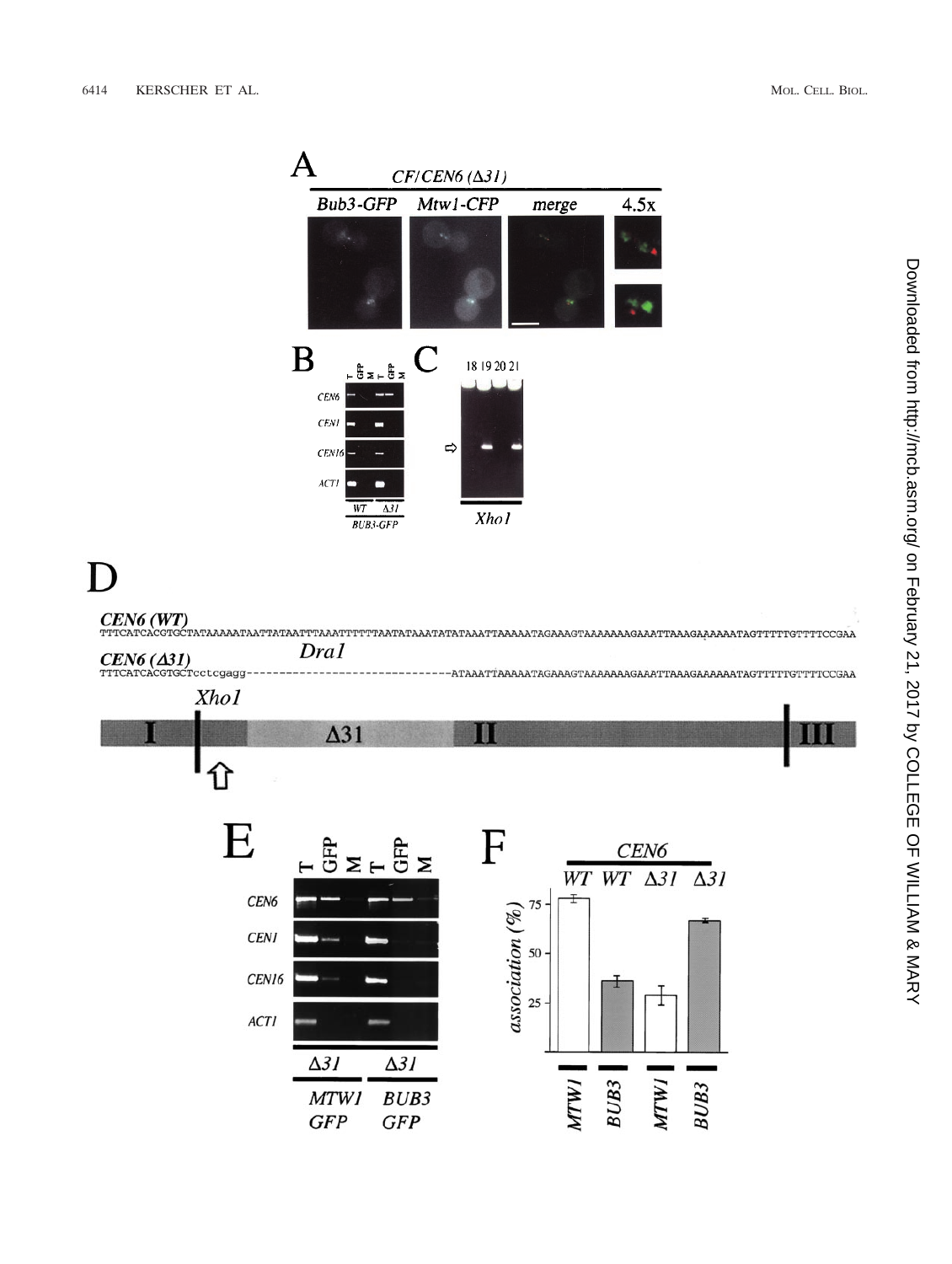

# D



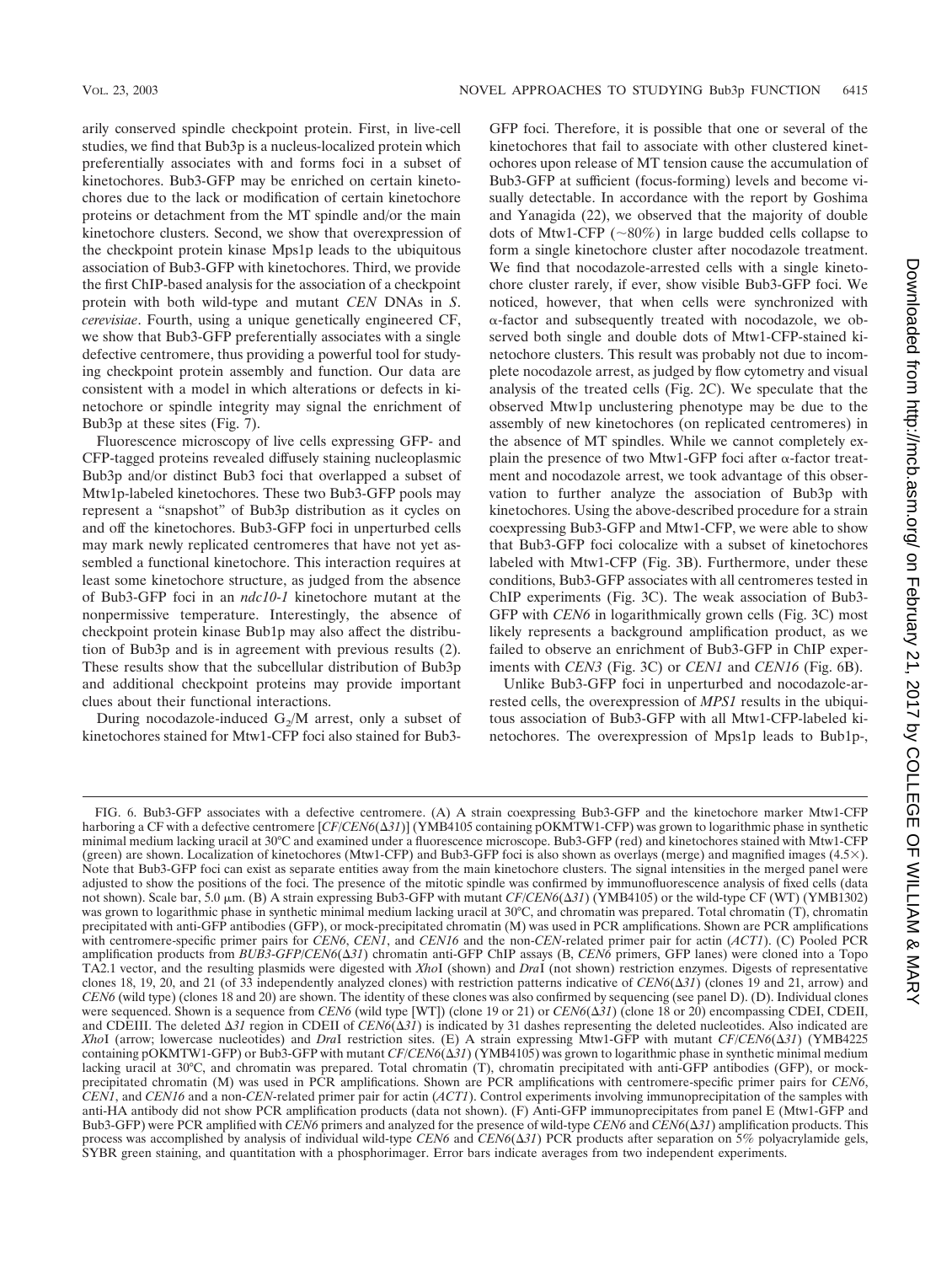arily conserved spindle checkpoint protein. First, in live-cell studies, we find that Bub3p is a nucleus-localized protein which preferentially associates with and forms foci in a subset of kinetochores. Bub3-GFP may be enriched on certain kinetochores due to the lack or modification of certain kinetochore proteins or detachment from the MT spindle and/or the main kinetochore clusters. Second, we show that overexpression of the checkpoint protein kinase Mps1p leads to the ubiquitous association of Bub3-GFP with kinetochores. Third, we provide the first ChIP-based analysis for the association of a checkpoint protein with both wild-type and mutant *CEN* DNAs in *S*. *cerevisiae*. Fourth, using a unique genetically engineered CF, we show that Bub3-GFP preferentially associates with a single defective centromere, thus providing a powerful tool for studying checkpoint protein assembly and function. Our data are consistent with a model in which alterations or defects in kinetochore or spindle integrity may signal the enrichment of Bub3p at these sites (Fig. 7).

Fluorescence microscopy of live cells expressing GFP- and CFP-tagged proteins revealed diffusely staining nucleoplasmic Bub3p and/or distinct Bub3 foci that overlapped a subset of Mtw1p-labeled kinetochores. These two Bub3-GFP pools may represent a "snapshot" of Bub3p distribution as it cycles on and off the kinetochores. Bub3-GFP foci in unperturbed cells may mark newly replicated centromeres that have not yet assembled a functional kinetochore. This interaction requires at least some kinetochore structure, as judged from the absence of Bub3-GFP foci in an *ndc10*-*1* kinetochore mutant at the nonpermissive temperature. Interestingly, the absence of checkpoint protein kinase Bub1p may also affect the distribution of Bub3p and is in agreement with previous results (2). These results show that the subcellular distribution of Bub3p and additional checkpoint proteins may provide important clues about their functional interactions.

During nocodazole-induced  $G_2/M$  arrest, only a subset of kinetochores stained for Mtw1-CFP foci also stained for Bub3GFP foci. Therefore, it is possible that one or several of the kinetochores that fail to associate with other clustered kinetochores upon release of MT tension cause the accumulation of Bub3-GFP at sufficient (focus-forming) levels and become visually detectable. In accordance with the report by Goshima and Yanagida (22), we observed that the majority of double dots of Mtw1-CFP ( $\sim 80\%$ ) in large budded cells collapse to form a single kinetochore cluster after nocodazole treatment. We find that nocodazole-arrested cells with a single kinetochore cluster rarely, if ever, show visible Bub3-GFP foci. We noticed, however, that when cells were synchronized with  $\alpha$ -factor and subsequently treated with nocodazole, we observed both single and double dots of Mtw1-CFP-stained kinetochore clusters. This result was probably not due to incomplete nocodazole arrest, as judged by flow cytometry and visual analysis of the treated cells (Fig. 2C). We speculate that the observed Mtw1p unclustering phenotype may be due to the assembly of new kinetochores (on replicated centromeres) in the absence of MT spindles. While we cannot completely explain the presence of two Mtw1-GFP foci after  $\alpha$ -factor treatment and nocodazole arrest, we took advantage of this observation to further analyze the association of Bub3p with kinetochores. Using the above-described procedure for a strain coexpressing Bub3-GFP and Mtw1-CFP, we were able to show that Bub3-GFP foci colocalize with a subset of kinetochores labeled with Mtw1-CFP (Fig. 3B). Furthermore, under these conditions, Bub3-GFP associates with all centromeres tested in ChIP experiments (Fig. 3C). The weak association of Bub3- GFP with *CEN6* in logarithmically grown cells (Fig. 3C) most likely represents a background amplification product, as we failed to observe an enrichment of Bub3-GFP in ChIP experiments with *CEN3* (Fig. 3C) or *CEN1* and *CEN16* (Fig. 6B).

Unlike Bub3-GFP foci in unperturbed and nocodazole-arrested cells, the overexpression of *MPS1* results in the ubiquitous association of Bub3-GFP with all Mtw1-CFP-labeled kinetochores. The overexpression of Mps1p leads to Bub1p-,

Downloaded from http://mcb.asm.org/ on February 21, 2017 by COLLEGE OF WILLIAM & MARY on February 21, 2017 by COLLEGE OF WILLIAM & MARY <http://mcb.asm.org/> Downloaded from

FIG. 6. Bub3-GFP associates with a defective centromere. (A) A strain coexpressing Bub3-GFP and the kinetochore marker Mtw1-CFP harboring a CF with a defective centromere [CF/CEN6( $\Delta 31$ )] (YMB4105 containing pOKMTW1-CFP) was grown to logarithmic phase in synthetic minimal medium lacking uracil at 30°C and examined under a fluorescence microscope. Bub3-GFP (red) and kinetochores stained with Mtw1-CFP (green) are shown. Localization of kinetochores (Mtw1-CFP) and Bub3-GFP foci is also shown as overlays (merge) and magnified images (4.5 $\times$ ). Note that Bub3-GFP foci can exist as separate entities away from the main kinetochore clusters. The signal intensities in the merged panel were adjusted to show the positions of the foci. The presence of the mitotic spindle was confirmed by immunofluorescence analysis of fixed cells (data not shown). Scale bar, 5.0  $\mu$ m. (B) A strain expressing Bub3-GFP with mutant *CF/CEN6*( $\Delta$ 31) (YMB4105) or the wild-type CF (WT) (YMB1302) was grown to logarithmic phase in synthetic minimal medium lacking uracil at 30°C, and chromatin was prepared. Total chromatin (T), chromatin precipitated with anti-GFP antibodies (GFP), or mock-precipitated chromatin (M) was used in PCR amplifications. Shown are PCR amplifications with centromere-specific primer pairs for *CEN6*, *CEN1*, and *CEN16* and the non-*CEN*-related primer pair for actin (*ACT1*). (C) Pooled PCR amplification products from *BUB3-GFP*/*CEN6*( $\Delta 31$ ) chromatin anti-GFP ChIP assays (B, *CEN6* primers, GFP lanes) were cloned into a Topo TA2.1 vector, and the resulting plasmids were digested with *Xho*I (shown) and *Dra*I (not shown) restriction enzymes. Digests of representative clones 18, 19, 20, and 21 (of 33 independently analyzed clones) with restriction patterns indicative of  $\mathit{CEN6}(\Delta 31)$  (clones 19 and 21, arrow) and *CEN6* (wild type) (clones 18 and 20) are shown. The identity of these clones was also confirmed by sequencing (see panel D). (D). Individual clones were sequenced. Shown is a sequence from *CEN6* (wild type [WT]) (clone 19 or 21) or *CEN6*(Δ31) (clone 18 or 20) encompassing CDEI, CDEII, and CDEIII. The deleted  $\Delta 31$  region in CDEII of *CEN6*( $\Delta 31$ ) is indicated by 31 dashes representing the deleted nucleotides. Also indicated are *XhoI* (arrow; lowercase nucleotides) and *DraI* restriction sites. (E) A strain expressing Mtw1-GFP with mutant *CF/CEN6*( $\Delta$ 31) (YMB4225 containing pOKMTW1-GFP) or Bub3-GFP with mutant *CF/CEN6*( $\Delta 31$ ) (YMB4105) was grown to logarithmic phase in synthetic minimal medium lacking uracil at 30°C, and chromatin was prepared. Total chromatin (T), chromatin precipitated with anti-GFP antibodies (GFP), or mockprecipitated chromatin (M) was used in PCR amplifications. Shown are PCR amplifications with centromere-specific primer pairs for *CEN6*, *CEN1*, and *CEN16* and a non-*CEN*-related primer pair for actin (*ACT1*). Control experiments involving immunoprecipitation of the samples with anti-HA antibody did not show PCR amplification products (data not shown). (F) Anti-GFP immunoprecipitates from panel E (Mtw1-GFP and Bub3-GFP) were PCR amplified with *CEN6* primers and analyzed for the presence of wild-type *CEN6* and *CEN6*(Δ31) amplification products. This process was accomplished by analysis of individual wild-type *CEN6* and *CEN6*( $\Delta$ 31) PCR products after separation on 5% polyacrylamide gels, SYBR green staining, and quantitation with a phosphorimager. Error bars indicate averages from two independent experiments.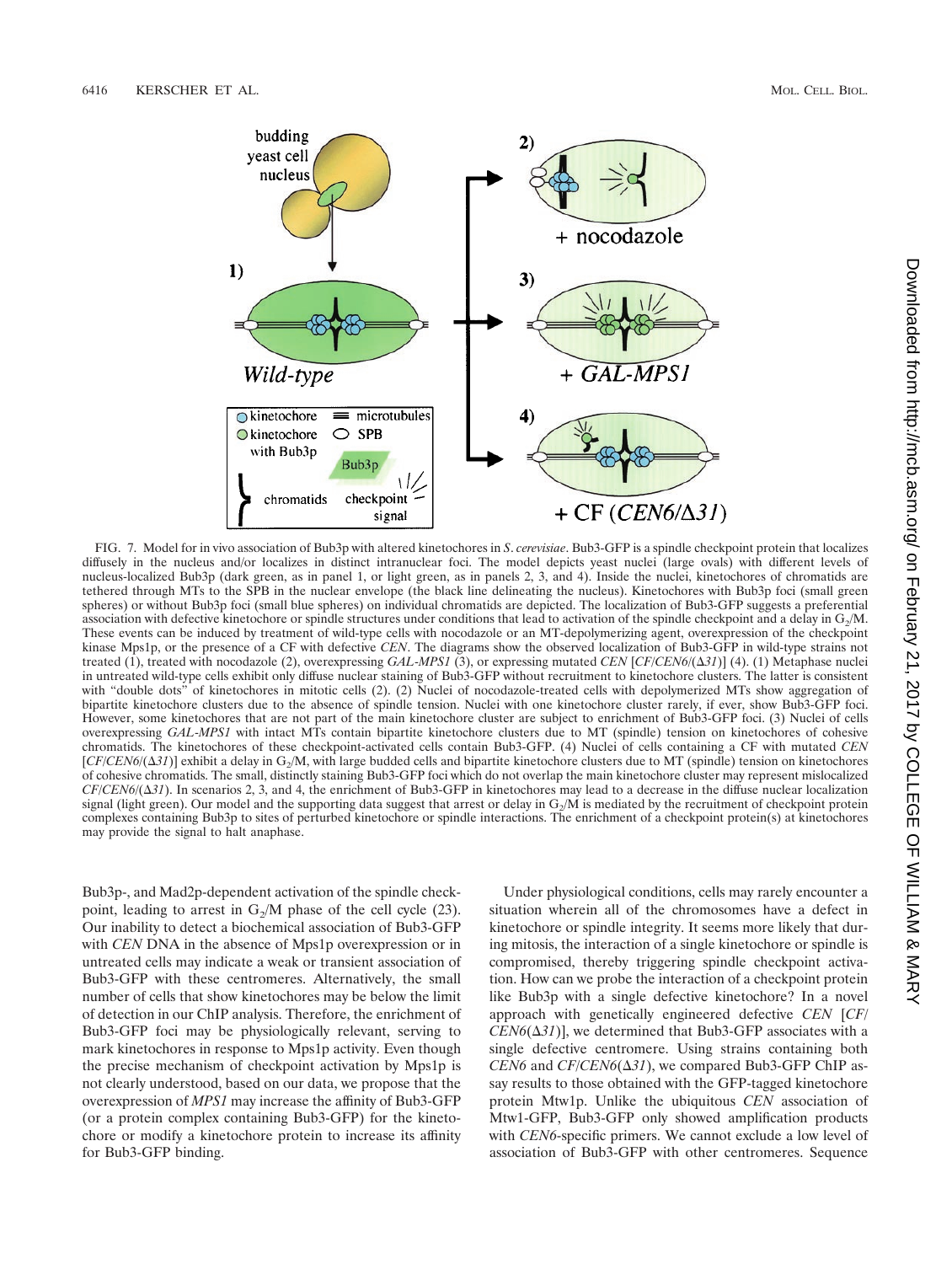

FIG. 7. Model for in vivo association of Bub3p with altered kinetochores in *S*. *cerevisiae*. Bub3-GFP is a spindle checkpoint protein that localizes diffusely in the nucleus and/or localizes in distinct intranuclear foci. The model depicts yeast nuclei (large ovals) with different levels of nucleus-localized Bub3p (dark green, as in panel 1, or light green, as in panels 2, 3, and 4). Inside the nuclei, kinetochores of chromatids are tethered through MTs to the SPB in the nuclear envelope (the black line delineating the nucleus). Kinetochores with Bub3p foci (small green spheres) or without Bub3p foci (small blue spheres) on individual chromatids are depicted. The localization of Bub3-GFP suggests a preferential association with defective kinetochore or spindle structures under conditions that lead to activation of the spindle checkpoint and a delay in  $G_2/M$ . These events can be induced by treatment of wild-type cells with nocodazole or an MT-depolymerizing agent, overexpression of the checkpoint kinase Mps1p, or the presence of a CF with defective *CEN*. The diagrams show the observed localization of Bub3-GFP in wild-type strains not treated (1), treated with nocodazole (2), overexpressing *GAL*-*MPS1* (3), or expressing mutated *CEN* [*CF*/*CEN6*/(-*31*)] (4). (1) Metaphase nuclei in untreated wild-type cells exhibit only diffuse nuclear staining of Bub3-GFP without recruitment to kinetochore clusters. The latter is consistent with "double dots" of kinetochores in mitotic cells (2). (2) Nuclei of nocodazole-treated cells with depolymerized MTs show aggregation of bipartite kinetochore clusters due to the absence of spindle tension. Nuclei with one kinetochore cluster rarely, if ever, show Bub3-GFP foci. However, some kinetochores that are not part of the main kinetochore cluster are subject to enrichment of Bub3-GFP foci. (3) Nuclei of cells overexpressing *GAL*-*MPS1* with intact MTs contain bipartite kinetochore clusters due to MT (spindle) tension on kinetochores of cohesive chromatids. The kinetochores of these checkpoint-activated cells contain Bub3-GFP. (4) Nuclei of cells containing a CF with mutated *CEN*  $[CF/CEN6/(\Delta 31)]$  exhibit a delay in G<sub>2</sub>/M, with large budded cells and bipartite kinetochore clusters due to MT (spindle) tension on kinetochores of cohesive chromatids. The small, distinctly staining Bub3-GFP foci which do not overlap the main kinetochore cluster may represent mislocalized  $CF/CEN6/(Δ31)$ . In scenarios 2, 3, and 4, the enrichment of Bub3-GFP in kinetochores may lead to a decrease in the diffuse nuclear localization signal (light green). Our model and the supporting data suggest that arrest or delay in  $G_2/M$  is mediated by the recruitment of checkpoint protein complexes containing Bub3p to sites of perturbed kinetochore or spindle interactions. The enrichment of a checkpoint protein(s) at kinetochores may provide the signal to halt anaphase.

Bub3p-, and Mad2p-dependent activation of the spindle checkpoint, leading to arrest in  $G_2/M$  phase of the cell cycle (23). Our inability to detect a biochemical association of Bub3-GFP with *CEN* DNA in the absence of Mps1p overexpression or in untreated cells may indicate a weak or transient association of Bub3-GFP with these centromeres. Alternatively, the small number of cells that show kinetochores may be below the limit of detection in our ChIP analysis. Therefore, the enrichment of Bub3-GFP foci may be physiologically relevant, serving to mark kinetochores in response to Mps1p activity. Even though the precise mechanism of checkpoint activation by Mps1p is not clearly understood, based on our data, we propose that the overexpression of *MPS1* may increase the affinity of Bub3-GFP (or a protein complex containing Bub3-GFP) for the kinetochore or modify a kinetochore protein to increase its affinity for Bub3-GFP binding.

Under physiological conditions, cells may rarely encounter a situation wherein all of the chromosomes have a defect in kinetochore or spindle integrity. It seems more likely that during mitosis, the interaction of a single kinetochore or spindle is compromised, thereby triggering spindle checkpoint activation. How can we probe the interaction of a checkpoint protein like Bub3p with a single defective kinetochore? In a novel approach with genetically engineered defective *CEN* [*CF*/  $CEN6(\Delta 31)$ , we determined that Bub3-GFP associates with a single defective centromere. Using strains containing both  $CEN6$  and  $CF/CEN6(\Delta 31)$ , we compared Bub3-GFP ChIP assay results to those obtained with the GFP-tagged kinetochore protein Mtw1p. Unlike the ubiquitous *CEN* association of Mtw1-GFP, Bub3-GFP only showed amplification products with *CEN6*-specific primers. We cannot exclude a low level of association of Bub3-GFP with other centromeres. Sequence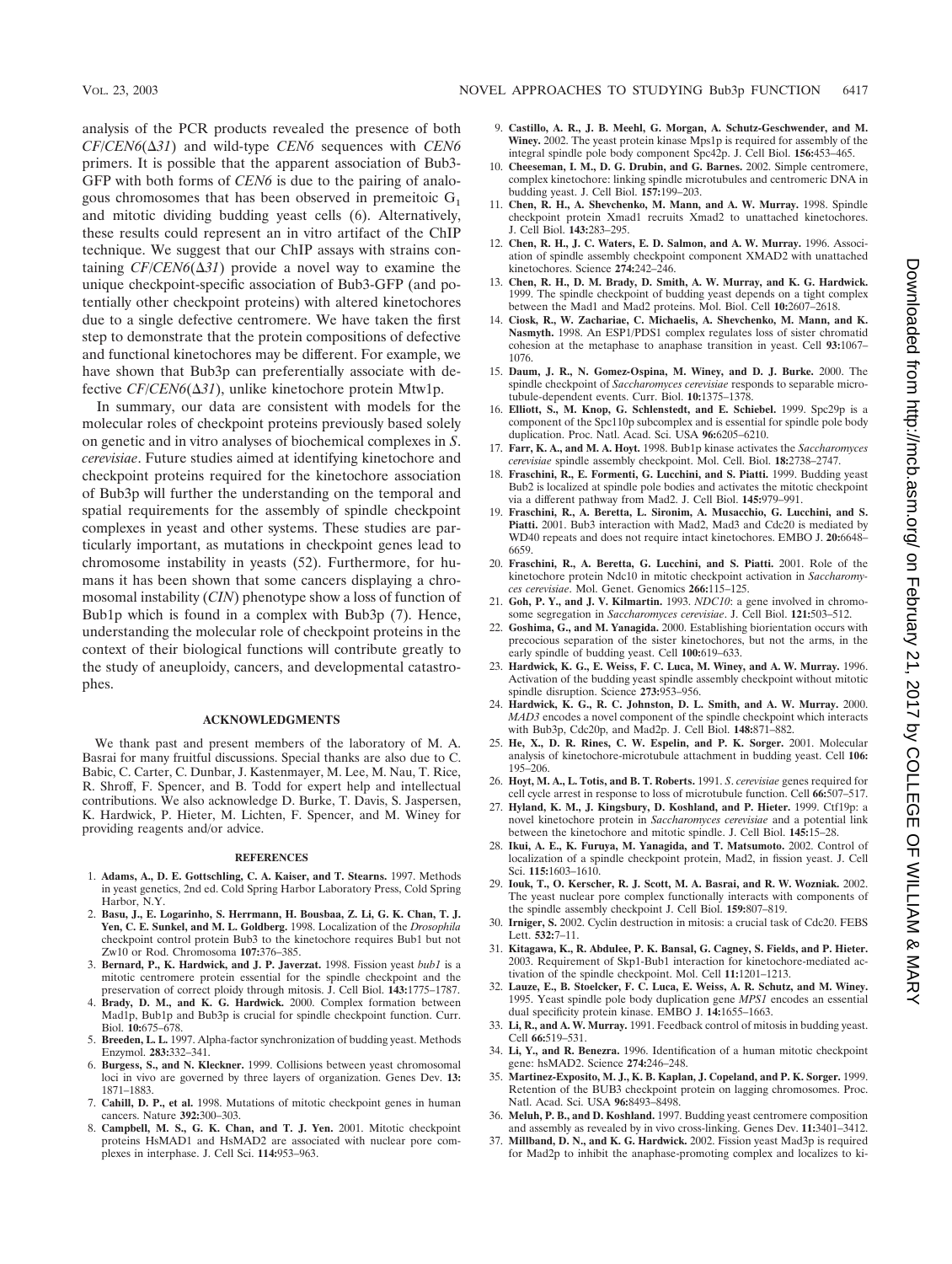analysis of the PCR products revealed the presence of both  $CF/CEN6(\Delta 31)$  and wild-type *CEN6* sequences with *CEN6* primers. It is possible that the apparent association of Bub3- GFP with both forms of *CEN6* is due to the pairing of analogous chromosomes that has been observed in premeitoic  $G_1$ and mitotic dividing budding yeast cells (6). Alternatively, these results could represent an in vitro artifact of the ChIP technique. We suggest that our ChIP assays with strains containing  $CF/CEN6(\Delta 31)$  provide a novel way to examine the unique checkpoint-specific association of Bub3-GFP (and potentially other checkpoint proteins) with altered kinetochores due to a single defective centromere. We have taken the first step to demonstrate that the protein compositions of defective and functional kinetochores may be different. For example, we have shown that Bub3p can preferentially associate with defective *CF/CEN6*(Δ31), unlike kinetochore protein Mtw1p.

In summary, our data are consistent with models for the molecular roles of checkpoint proteins previously based solely on genetic and in vitro analyses of biochemical complexes in *S*. *cerevisiae*. Future studies aimed at identifying kinetochore and checkpoint proteins required for the kinetochore association of Bub3p will further the understanding on the temporal and spatial requirements for the assembly of spindle checkpoint complexes in yeast and other systems. These studies are particularly important, as mutations in checkpoint genes lead to chromosome instability in yeasts (52). Furthermore, for humans it has been shown that some cancers displaying a chromosomal instability (*CIN*) phenotype show a loss of function of Bub1p which is found in a complex with Bub3p (7). Hence, understanding the molecular role of checkpoint proteins in the context of their biological functions will contribute greatly to the study of aneuploidy, cancers, and developmental catastrophes.

#### **ACKNOWLEDGMENTS**

We thank past and present members of the laboratory of M. A. Basrai for many fruitful discussions. Special thanks are also due to C. Babic, C. Carter, C. Dunbar, J. Kastenmayer, M. Lee, M. Nau, T. Rice, R. Shroff, F. Spencer, and B. Todd for expert help and intellectual contributions. We also acknowledge D. Burke, T. Davis, S. Jaspersen, K. Hardwick, P. Hieter, M. Lichten, F. Spencer, and M. Winey for providing reagents and/or advice.

#### **REFERENCES**

- 1. **Adams, A., D. E. Gottschling, C. A. Kaiser, and T. Stearns.** 1997. Methods in yeast genetics, 2nd ed. Cold Spring Harbor Laboratory Press, Cold Spring Harbor, N.Y.
- 2. **Basu, J., E. Logarinho, S. Herrmann, H. Bousbaa, Z. Li, G. K. Chan, T. J. Yen, C. E. Sunkel, and M. L. Goldberg.** 1998. Localization of the *Drosophila* checkpoint control protein Bub3 to the kinetochore requires Bub1 but not Zw10 or Rod. Chromosoma **107:**376–385.
- 3. **Bernard, P., K. Hardwick, and J. P. Javerzat.** 1998. Fission yeast *bub1* is a mitotic centromere protein essential for the spindle checkpoint and the preservation of correct ploidy through mitosis. J. Cell Biol. **143:**1775–1787.
- 4. **Brady, D. M., and K. G. Hardwick.** 2000. Complex formation between Mad1p, Bub1p and Bub3p is crucial for spindle checkpoint function. Curr. Biol. **10:**675–678.
- 5. **Breeden, L. L.** 1997. Alpha-factor synchronization of budding yeast. Methods Enzymol. **283:**332–341.
- 6. **Burgess, S., and N. Kleckner.** 1999. Collisions between yeast chromosomal loci in vivo are governed by three layers of organization. Genes Dev. **13:** 1871–1883.
- 7. **Cahill, D. P., et al.** 1998. Mutations of mitotic checkpoint genes in human cancers. Nature **392:**300–303.
- 8. **Campbell, M. S., G. K. Chan, and T. J. Yen.** 2001. Mitotic checkpoint proteins HsMAD1 and HsMAD2 are associated with nuclear pore complexes in interphase. J. Cell Sci. **114:**953–963.
- 9. **Castillo, A. R., J. B. Meehl, G. Morgan, A. Schutz-Geschwender, and M. Winey.** 2002. The yeast protein kinase Mps1p is required for assembly of the integral spindle pole body component Spc42p. J. Cell Biol. **156:**453–465.
- 10. **Cheeseman, I. M., D. G. Drubin, and G. Barnes.** 2002. Simple centromere, complex kinetochore: linking spindle microtubules and centromeric DNA in budding yeast. J. Cell Biol. **157:**199–203.
- 11. **Chen, R. H., A. Shevchenko, M. Mann, and A. W. Murray.** 1998. Spindle checkpoint protein Xmad1 recruits Xmad2 to unattached kinetochores. J. Cell Biol. **143:**283–295.
- 12. **Chen, R. H., J. C. Waters, E. D. Salmon, and A. W. Murray.** 1996. Association of spindle assembly checkpoint component XMAD2 with unattached kinetochores. Science **274:**242–246.
- 13. **Chen, R. H., D. M. Brady, D. Smith, A. W. Murray, and K. G. Hardwick.** 1999. The spindle checkpoint of budding yeast depends on a tight complex between the Mad1 and Mad2 proteins. Mol. Biol. Cell **10:**2607–2618.
- 14. **Ciosk, R., W. Zachariae, C. Michaelis, A. Shevchenko, M. Mann, and K. Nasmyth.** 1998. An ESP1/PDS1 complex regulates loss of sister chromatid cohesion at the metaphase to anaphase transition in yeast. Cell **93:**1067– 1076.
- 15. **Daum, J. R., N. Gomez-Ospina, M. Winey, and D. J. Burke.** 2000. The spindle checkpoint of *Saccharomyces cerevisiae* responds to separable microtubule-dependent events. Curr. Biol. **10:**1375–1378.
- 16. **Elliott, S., M. Knop, G. Schlenstedt, and E. Schiebel.** 1999. Spc29p is a component of the Spc110p subcomplex and is essential for spindle pole body duplication. Proc. Natl. Acad. Sci. USA **96:**6205–6210.
- 17. **Farr, K. A., and M. A. Hoyt.** 1998. Bub1p kinase activates the *Saccharomyces cerevisiae* spindle assembly checkpoint. Mol. Cell. Biol. **18:**2738–2747.
- 18. **Fraschini, R., E. Formenti, G. Lucchini, and S. Piatti.** 1999. Budding yeast Bub2 is localized at spindle pole bodies and activates the mitotic checkpoint via a different pathway from Mad2. J. Cell Biol. **145:**979–991.
- 19. **Fraschini, R., A. Beretta, L. Sironim, A. Musacchio, G. Lucchini, and S.** Piatti. 2001. Bub3 interaction with Mad2, Mad3 and Cdc20 is mediated by WD40 repeats and does not require intact kinetochores. EMBO J. **20:**6648– 6659.
- 20. **Fraschini, R., A. Beretta, G. Lucchini, and S. Piatti.** 2001. Role of the kinetochore protein Ndc10 in mitotic checkpoint activation in *Saccharomyces cerevisiae*. Mol. Genet. Genomics **266:**115–125.
- 21. **Goh, P. Y., and J. V. Kilmartin.** 1993. *NDC10*: a gene involved in chromosome segregation in *Saccharomyces cerevisiae*. J. Cell Biol. **121:**503–512.
- 22. **Goshima, G., and M. Yanagida.** 2000. Establishing biorientation occurs with precocious separation of the sister kinetochores, but not the arms, in the early spindle of budding yeast. Cell **100:**619–633.
- 23. **Hardwick, K. G., E. Weiss, F. C. Luca, M. Winey, and A. W. Murray.** 1996. Activation of the budding yeast spindle assembly checkpoint without mitotic spindle disruption. Science **273:**953–956.
- 24. **Hardwick, K. G., R. C. Johnston, D. L. Smith, and A. W. Murray.** 2000. *MAD3* encodes a novel component of the spindle checkpoint which interacts with Bub3p, Cdc20p, and Mad2p. J. Cell Biol. **148:**871–882.
- 25. **He, X., D. R. Rines, C. W. Espelin, and P. K. Sorger.** 2001. Molecular analysis of kinetochore-microtubule attachment in budding yeast. Cell **106:** 195–206.
- 26. **Hoyt, M. A., L. Totis, and B. T. Roberts.** 1991. *S*. *cerevisiae* genes required for cell cycle arrest in response to loss of microtubule function. Cell **66:**507–517.
- 27. **Hyland, K. M., J. Kingsbury, D. Koshland, and P. Hieter.** 1999. Ctf19p: a novel kinetochore protein in *Saccharomyces cerevisiae* and a potential link between the kinetochore and mitotic spindle. J. Cell Biol. **145:**15–28.
- 28. **Ikui, A. E., K. Furuya, M. Yanagida, and T. Matsumoto.** 2002. Control of localization of a spindle checkpoint protein, Mad2, in fission yeast. J. Cell Sci. **115:**1603–1610.
- 29. **Iouk, T., O. Kerscher, R. J. Scott, M. A. Basrai, and R. W. Wozniak.** 2002. The yeast nuclear pore complex functionally interacts with components of the spindle assembly checkpoint J. Cell Biol. **159:**807–819.
- 30. **Irniger, S.** 2002. Cyclin destruction in mitosis: a crucial task of Cdc20. FEBS Lett. **532:**7–11.
- 31. **Kitagawa, K., R. Abdulee, P. K. Bansal, G. Cagney, S. Fields, and P. Hieter.** 2003. Requirement of Skp1-Bub1 interaction for kinetochore-mediated activation of the spindle checkpoint. Mol. Cell **11:**1201–1213.
- 32. **Lauze, E., B. Stoelcker, F. C. Luca, E. Weiss, A. R. Schutz, and M. Winey.** 1995. Yeast spindle pole body duplication gene *MPS1* encodes an essential dual specificity protein kinase. EMBO J. **14:**1655–1663.
- 33. **Li, R., and A. W. Murray.** 1991. Feedback control of mitosis in budding yeast. Cell **66:**519–531.
- 34. **Li, Y., and R. Benezra.** 1996. Identification of a human mitotic checkpoint gene: hsMAD2. Science **274:**246–248.
- 35. **Martinez-Exposito, M. J., K. B. Kaplan, J. Copeland, and P. K. Sorger.** 1999. Retention of the BUB3 checkpoint protein on lagging chromosomes. Proc. Natl. Acad. Sci. USA **96:**8493–8498.
- 36. **Meluh, P. B., and D. Koshland.** 1997. Budding yeast centromere composition and assembly as revealed by in vivo cross-linking. Genes Dev. **11:**3401–3412.
- 37. **Millband, D. N., and K. G. Hardwick.** 2002. Fission yeast Mad3p is required for Mad2p to inhibit the anaphase-promoting complex and localizes to ki-